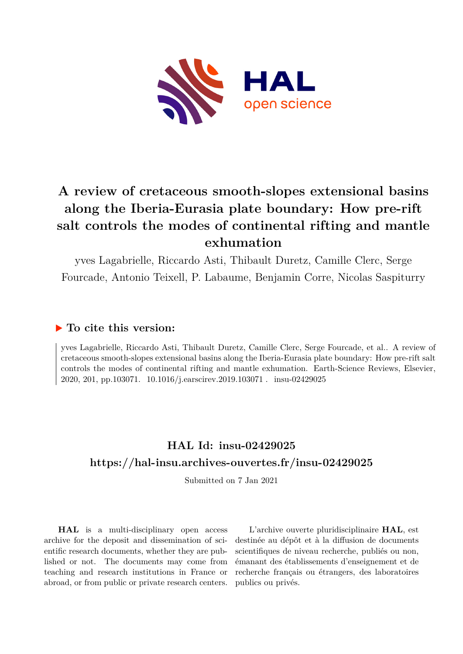

# **A review of cretaceous smooth-slopes extensional basins along the Iberia-Eurasia plate boundary: How pre-rift salt controls the modes of continental rifting and mantle exhumation**

yves Lagabrielle, Riccardo Asti, Thibault Duretz, Camille Clerc, Serge Fourcade, Antonio Teixell, P. Labaume, Benjamin Corre, Nicolas Saspiturry

### **To cite this version:**

yves Lagabrielle, Riccardo Asti, Thibault Duretz, Camille Clerc, Serge Fourcade, et al.. A review of cretaceous smooth-slopes extensional basins along the Iberia-Eurasia plate boundary: How pre-rift salt controls the modes of continental rifting and mantle exhumation. Earth-Science Reviews, Elsevier, 2020, 201, pp.103071. 10.1016/j.earscirev.2019.103071. insu-02429025

# **HAL Id: insu-02429025 <https://hal-insu.archives-ouvertes.fr/insu-02429025>**

Submitted on 7 Jan 2021

**HAL** is a multi-disciplinary open access archive for the deposit and dissemination of scientific research documents, whether they are published or not. The documents may come from teaching and research institutions in France or abroad, or from public or private research centers.

L'archive ouverte pluridisciplinaire **HAL**, est destinée au dépôt et à la diffusion de documents scientifiques de niveau recherche, publiés ou non, émanant des établissements d'enseignement et de recherche français ou étrangers, des laboratoires publics ou privés.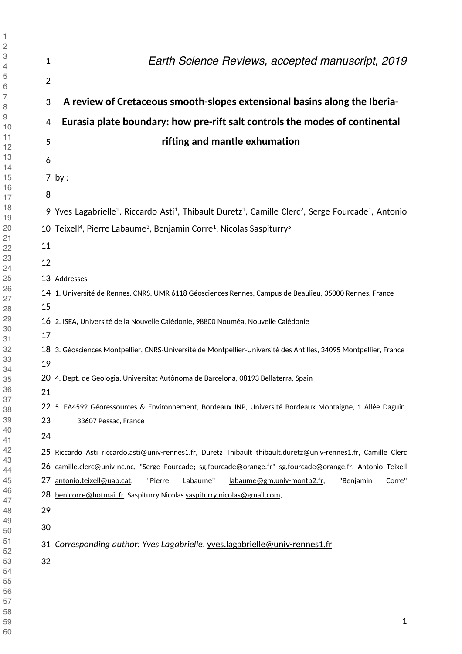| $\mathbf{1}$   | Earth Science Reviews, accepted manuscript, 2019                                                                                                                                                                    |
|----------------|---------------------------------------------------------------------------------------------------------------------------------------------------------------------------------------------------------------------|
| $\overline{2}$ |                                                                                                                                                                                                                     |
| 3              | A review of Cretaceous smooth-slopes extensional basins along the Iberia-                                                                                                                                           |
| 4              | Eurasia plate boundary: how pre-rift salt controls the modes of continental                                                                                                                                         |
| 5              | rifting and mantle exhumation                                                                                                                                                                                       |
| 6              |                                                                                                                                                                                                                     |
|                | $7$ by :                                                                                                                                                                                                            |
| 8              |                                                                                                                                                                                                                     |
|                | 9 Yves Lagabrielle <sup>1</sup> , Riccardo Asti <sup>1</sup> , Thibault Duretz <sup>1</sup> , Camille Clerc <sup>2</sup> , Serge Fourcade <sup>1</sup> , Antonio                                                    |
|                | 10 Teixell <sup>4</sup> , Pierre Labaume <sup>3</sup> , Benjamin Corre <sup>1</sup> , Nicolas Saspiturry <sup>5</sup>                                                                                               |
| 11             |                                                                                                                                                                                                                     |
| 12             |                                                                                                                                                                                                                     |
|                | 13 Addresses                                                                                                                                                                                                        |
|                | 14 1. Université de Rennes, CNRS, UMR 6118 Géosciences Rennes, Campus de Beaulieu, 35000 Rennes, France                                                                                                             |
| 15             |                                                                                                                                                                                                                     |
|                | 16 2. ISEA, Université de la Nouvelle Calédonie, 98800 Nouméa, Nouvelle Calédonie                                                                                                                                   |
| 17             |                                                                                                                                                                                                                     |
| 19             | 18 3. Géosciences Montpellier, CNRS-Université de Montpellier-Université des Antilles, 34095 Montpellier, France                                                                                                    |
|                | 20 4. Dept. de Geologia, Universitat Autònoma de Barcelona, 08193 Bellaterra, Spain                                                                                                                                 |
| 21             |                                                                                                                                                                                                                     |
|                | 22 5. EA4592 Géoressources & Environnement, Bordeaux INP, Université Bordeaux Montaigne, 1 Allée Daguin,                                                                                                            |
| 23             | 33607 Pessac, France                                                                                                                                                                                                |
| 24             |                                                                                                                                                                                                                     |
|                | 25 Riccardo Asti riccardo.asti@univ-rennes1.fr, Duretz Thibault thibault.duretz@univ-rennes1.fr, Camille Clerc                                                                                                      |
| 27             | 26 camille.clerc@univ-nc.nc, "Serge Fourcade; sg.fourcade@orange.fr" sg.fourcade@orange.fr, Antonio Teixell<br>antonio.teixell@uab.cat,<br>Labaume"<br>"Benjamin<br>Corre"<br>"Pierre<br>labaume@gm.univ-montp2.fr, |
| 28             | benjcorre@hotmail.fr, Saspiturry Nicolas saspiturry.nicolas@gmail.com,                                                                                                                                              |
| 29             |                                                                                                                                                                                                                     |
| 30             |                                                                                                                                                                                                                     |
|                | 31 Corresponding author: Yves Lagabrielle. yves.lagabrielle@univ-rennes1.fr                                                                                                                                         |
| 32             |                                                                                                                                                                                                                     |
|                |                                                                                                                                                                                                                     |
|                |                                                                                                                                                                                                                     |
|                | 1                                                                                                                                                                                                                   |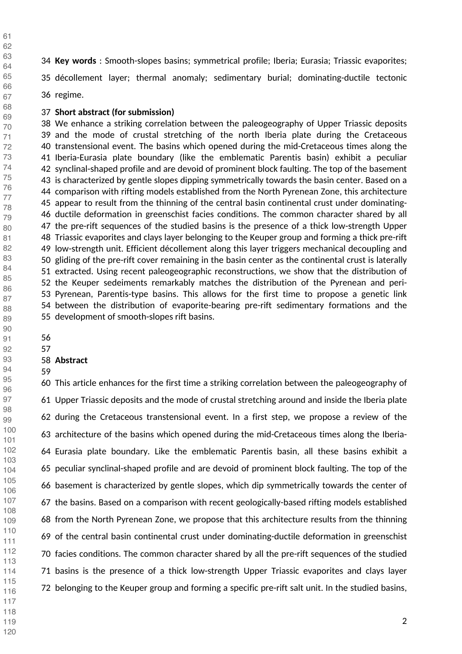**Key words** : Smooth-slopes basins; symmetrical profile; Iberia; Eurasia; Triassic evaporites;

35 décollement layer; thermal anomaly; sedimentary burial; dominating-ductile tectonic

36 regime.

#### **Short abstract (for submission)**

38 We enhance a striking correlation between the paleogeography of Upper Triassic deposits 39 and the mode of crustal stretching of the north Iberia plate during the Cretaceous 40 transtensional event. The basins which opened during the mid-Cretaceous times along the 41 Iberia-Eurasia plate boundary (like the emblematic Parentis basin) exhibit a peculiar 42 synclinal-shaped profile and are devoid of prominent block faulting. The top of the basement 43 is characterized by gentle slopes dipping symmetrically towards the basin center. Based on a 44 comparison with rifting models established from the North Pyrenean Zone, this architecture 45 appear to result from the thinning of the central basin continental crust under dominating-46 ductile deformation in greenschist facies conditions. The common character shared by all 47 the pre-rift sequences of the studied basins is the presence of a thick low-strength Upper 48 Triassic evaporites and clays layer belonging to the Keuper group and forming a thick pre-rift 49 low-strength unit. Efficient décollement along this layer triggers mechanical decoupling and 50 gliding of the pre-rift cover remaining in the basin center as the continental crust is laterally 51 extracted. Using recent paleogeographic reconstructions, we show that the distribution of 52 the Keuper sedeiments remarkably matches the distribution of the Pyrenean and peri-53 Pyrenean, Parentis-type basins. This allows for the first time to propose a genetic link 54 between the distribution of evaporite-bearing pre-rift sedimentary formations and the 55 development of smooth-slopes rift basins.

#### **Abstract**

60 This article enhances for the first time a striking correlation between the paleogeography of 61 Upper Triassic deposits and the mode of crustal stretching around and inside the Iberia plate 62 during the Cretaceous transtensional event. In a first step, we propose a review of the 63 architecture of the basins which opened during the mid-Cretaceous times along the Iberia-64 Eurasia plate boundary. Like the emblematic Parentis basin, all these basins exhibit a 65 peculiar synclinal-shaped profile and are devoid of prominent block faulting. The top of the 66 basement is characterized by gentle slopes, which dip symmetrically towards the center of 67 the basins. Based on a comparison with recent geologically-based rifting models established 68 from the North Pyrenean Zone, we propose that this architecture results from the thinning 69 of the central basin continental crust under dominating-ductile deformation in greenschist 70 facies conditions. The common character shared by all the pre-rift sequences of the studied 71 basins is the presence of a thick low-strength Upper Triassic evaporites and clays layer 72 belonging to the Keuper group and forming a specific pre-rift salt unit. In the studied basins,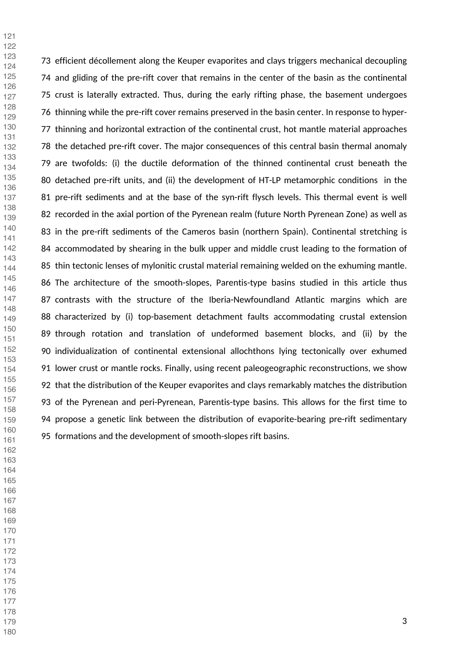73 efficient décollement along the Keuper evaporites and clays triggers mechanical decoupling 74 and gliding of the pre-rift cover that remains in the center of the basin as the continental 75 crust is laterally extracted. Thus, during the early rifting phase, the basement undergoes 76 thinning while the pre-rift cover remains preserved in the basin center. In response to hyper-77 thinning and horizontal extraction of the continental crust, hot mantle material approaches 78 the detached pre-rift cover. The major consequences of this central basin thermal anomaly 79 are twofolds: (i) the ductile deformation of the thinned continental crust beneath the 80 detached pre-rift units, and (ii) the development of HT-LP metamorphic conditions in the 81 pre-rift sediments and at the base of the syn-rift flysch levels. This thermal event is well 82 recorded in the axial portion of the Pyrenean realm (future North Pyrenean Zone) as well as 83 in the pre-rift sediments of the Cameros basin (northern Spain). Continental stretching is 84 accommodated by shearing in the bulk upper and middle crust leading to the formation of 85 thin tectonic lenses of mylonitic crustal material remaining welded on the exhuming mantle. 86 The architecture of the smooth-slopes, Parentis-type basins studied in this article thus 87 contrasts with the structure of the Iberia-Newfoundland Atlantic margins which are 88 characterized by (i) top-basement detachment faults accommodating crustal extension 89 through rotation and translation of undeformed basement blocks, and (ii) by the 90 individualization of continental extensional allochthons lying tectonically over exhumed 91 lower crust or mantle rocks. Finally, using recent paleogeographic reconstructions, we show 92 that the distribution of the Keuper evaporites and clays remarkably matches the distribution 93 of the Pyrenean and peri-Pyrenean, Parentis-type basins. This allows for the first time to 94 propose a genetic link between the distribution of evaporite-bearing pre-rift sedimentary 95 formations and the development of smooth-slopes rift basins.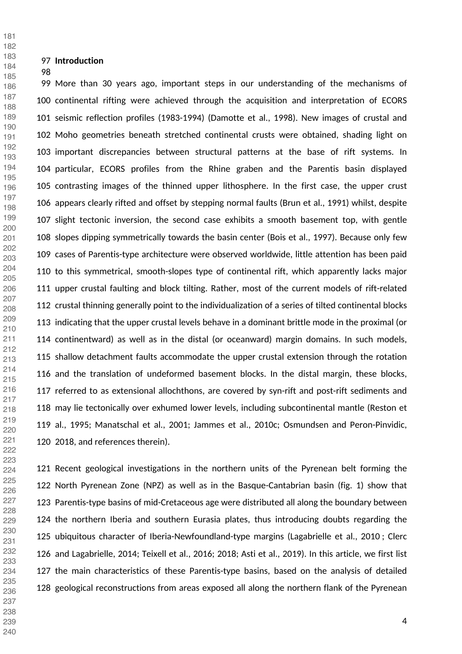#### **Introduction**

99 More than 30 years ago, important steps in our understanding of the mechanisms of 100 continental rifting were achieved through the acquisition and interpretation of ECORS 101 seismic reflection profiles (1983-1994) (Damotte et al., 1998). New images of crustal and 102 Moho geometries beneath stretched continental crusts were obtained, shading light on 103 important discrepancies between structural patterns at the base of rift systems. In 104 particular, ECORS profiles from the Rhine graben and the Parentis basin displayed 105 contrasting images of the thinned upper lithosphere. In the first case, the upper crust 106 appears clearly rifted and offset by stepping normal faults (Brun et al., 1991) whilst, despite 107 slight tectonic inversion, the second case exhibits a smooth basement top, with gentle 108 slopes dipping symmetrically towards the basin center (Bois et al., 1997). Because only few 109 cases of Parentis-type architecture were observed worldwide, little attention has been paid 110 to this symmetrical, smooth-slopes type of continental rift, which apparently lacks major 111 upper crustal faulting and block tilting. Rather, most of the current models of rift-related 112 crustal thinning generally point to the individualization of a series of tilted continental blocks 113 indicating that the upper crustal levels behave in a dominant brittle mode in the proximal (or 114 continentward) as well as in the distal (or oceanward) margin domains. In such models, 115 shallow detachment faults accommodate the upper crustal extension through the rotation 116 and the translation of undeformed basement blocks. In the distal margin, these blocks, 117 referred to as extensional allochthons, are covered by syn-rift and post-rift sediments and 118 may lie tectonically over exhumed lower levels, including subcontinental mantle (Reston et 119 al., 1995; Manatschal et al., 2001; Jammes et al., 2010c; Osmundsen and Peron-Pinvidic, 120 2018, and references therein).

121 Recent geological investigations in the northern units of the Pyrenean belt forming the 122 North Pyrenean Zone (NPZ) as well as in the Basque-Cantabrian basin (fig. 1) show that 123 Parentis-type basins of mid-Cretaceous age were distributed all along the boundary between 124 the northern Iberia and southern Eurasia plates, thus introducing doubts regarding the 125 ubiquitous character of Iberia-Newfoundland-type margins (Lagabrielle et al., 2010 ; Clerc 126 and Lagabrielle, 2014; Teixell et al., 2016; 2018; Asti et al., 2019). In this article, we first list 127 the main characteristics of these Parentis-type basins, based on the analysis of detailed 128 geological reconstructions from areas exposed all along the northern flank of the Pyrenean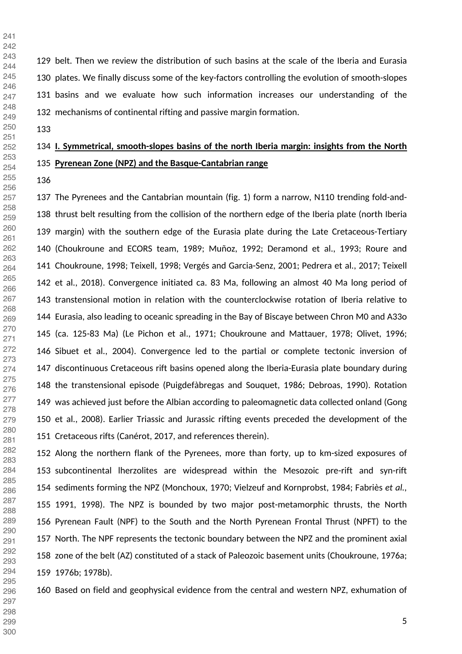129 belt. Then we review the distribution of such basins at the scale of the Iberia and Eurasia 130 plates. We finally discuss some of the key-factors controlling the evolution of smooth-slopes 131 basins and we evaluate how such information increases our understanding of the 132 mechanisms of continental rifting and passive margin formation.

# **I. Symmetrical, smooth-slopes basins of the north Iberia margin: insights from the North Pyrenean Zone (NPZ) and the Basque-Cantabrian range**

137 The Pyrenees and the Cantabrian mountain (fig. 1) form a narrow, N110 trending fold-and-138 thrust belt resulting from the collision of the northern edge of the Iberia plate (north Iberia 139 margin) with the southern edge of the Eurasia plate during the Late Cretaceous-Tertiary 140 (Choukroune and ECORS team, 1989; Muñoz, 1992; Deramond et al., 1993; Roure and 141 Choukroune, 1998; Teixell, 1998; Vergés and Garcia-Senz, 2001; Pedrera et al., 2017; Teixell 142 et al., 2018). Convergence initiated ca. 83 Ma, following an almost 40 Ma long period of 143 transtensional motion in relation with the counterclockwise rotation of Iberia relative to 144 Eurasia, also leading to oceanic spreading in the Bay of Biscaye between Chron M0 and A33o 145 (ca. 125-83 Ma) (Le Pichon et al., 1971; Choukroune and Mattauer, 1978; Olivet, 1996; 146 Sibuet et al., 2004). Convergence led to the partial or complete tectonic inversion of 147 discontinuous Cretaceous rift basins opened along the Iberia-Eurasia plate boundary during 148 the transtensional episode (Puigdefàbregas and Souquet, 1986; Debroas, 1990). Rotation 149 was achieved just before the Albian according to paleomagnetic data collected onland (Gong 150 et al., 2008). Earlier Triassic and Jurassic rifting events preceded the development of the 151 Cretaceous rifts (Canérot, 2017, and references therein).

152 Along the northern flank of the Pyrenees, more than forty, up to km-sized exposures of 153 subcontinental lherzolites are widespread within the Mesozoic pre-rift and syn-rift 154 sediments forming the NPZ (Monchoux, 1970; Vielzeuf and Kornprobst, 1984; Fabriès *et al.,*  155 1991, 1998). The NPZ is bounded by two major post-metamorphic thrusts, the North 156 Pyrenean Fault (NPF) to the South and the North Pyrenean Frontal Thrust (NPFT) to the 157 North. The NPF represents the tectonic boundary between the NPZ and the prominent axial 158 zone of the belt (AZ) constituted of a stack of Paleozoic basement units (Choukroune, 1976a; 159 1976b; 1978b). 

160 Based on field and geophysical evidence from the central and western NPZ, exhumation of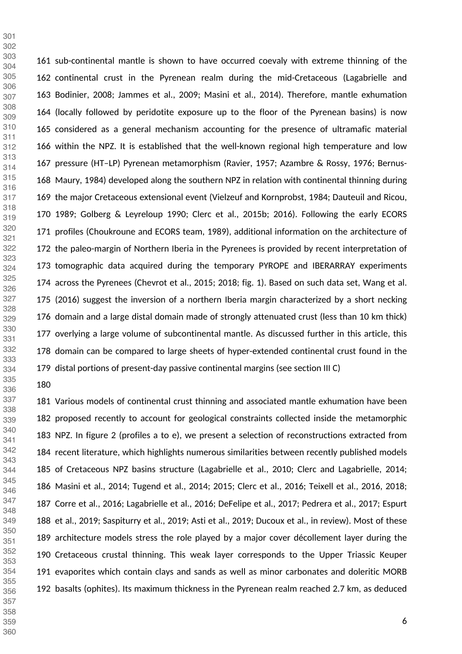161 sub-continental mantle is shown to have occurred coevaly with extreme thinning of the 162 continental crust in the Pyrenean realm during the mid-Cretaceous (Lagabrielle and 163 Bodinier, 2008; Jammes et al., 2009; Masini et al., 2014). Therefore, mantle exhumation 164 (locally followed by peridotite exposure up to the floor of the Pyrenean basins) is now 165 considered as a general mechanism accounting for the presence of ultramafic material 166 within the NPZ. It is established that the well-known regional high temperature and low 167 pressure (HT–LP) Pyrenean metamorphism (Ravier, 1957; Azambre & Rossy, 1976; Bernus-168 Maury, 1984) developed along the southern NPZ in relation with continental thinning during 169 the major Cretaceous extensional event (Vielzeuf and Kornprobst, 1984; Dauteuil and Ricou, 170 1989; Golberg & Leyreloup 1990; Clerc et al., 2015b; 2016). Following the early ECORS 171 profiles (Choukroune and ECORS team, 1989), additional information on the architecture of 172 the paleo-margin of Northern Iberia in the Pyrenees is provided by recent interpretation of 173 tomographic data acquired during the temporary PYROPE and IBERARRAY experiments 174 across the Pyrenees (Chevrot et al., 2015; 2018; fig. 1). Based on such data set, Wang et al. 175 (2016) suggest the inversion of a northern Iberia margin characterized by a short necking 176 domain and a large distal domain made of strongly attenuated crust (less than 10 km thick) 177 overlying a large volume of subcontinental mantle. As discussed further in this article, this 178 domain can be compared to large sheets of hyper-extended continental crust found in the 179 distal portions of present-day passive continental margins (see section III C) 

 

181 Various models of continental crust thinning and associated mantle exhumation have been 182 proposed recently to account for geological constraints collected inside the metamorphic 183 NPZ. In figure 2 (profiles a to e), we present a selection of reconstructions extracted from 184 recent literature, which highlights numerous similarities between recently published models 185 of Cretaceous NPZ basins structure (Lagabrielle et al., 2010; Clerc and Lagabrielle, 2014; 186 Masini et al., 2014; Tugend et al., 2014; 2015; Clerc et al., 2016; Teixell et al., 2016, 2018; 187 Corre et al., 2016; Lagabrielle et al., 2016; DeFelipe et al., 2017; Pedrera et al., 2017; Espurt 188 et al., 2019; Saspiturry et al., 2019; Asti et al., 2019; Ducoux et al., in review). Most of these 189 architecture models stress the role played by a major cover décollement layer during the 190 Cretaceous crustal thinning. This weak layer corresponds to the Upper Triassic Keuper 191 evaporites which contain clays and sands as well as minor carbonates and doleritic MORB 192 basalts (ophites). Its maximum thickness in the Pyrenean realm reached 2.7 km, as deduced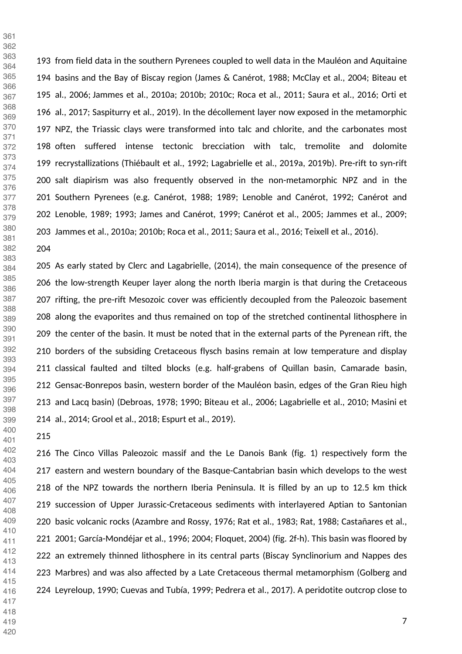193 from field data in the southern Pyrenees coupled to well data in the Mauléon and Aquitaine 194 basins and the Bay of Biscay region (James & Canérot, 1988; McClay et al., 2004; Biteau et 195 al., 2006; Jammes et al., 2010a; 2010b; 2010c; Roca et al., 2011; Saura et al., 2016; Orti et 196 al., 2017; Saspiturry et al., 2019). In the décollement layer now exposed in the metamorphic 197 NPZ, the Triassic clays were transformed into talc and chlorite, and the carbonates most 198 often suffered intense tectonic brecciation with talc, tremolite and dolomite 199 recrystallizations (Thiébault et al., 1992; Lagabrielle et al., 2019a, 2019b). Pre-rift to syn-rift 200 salt diapirism was also frequently observed in the non-metamorphic NPZ and in the 201 Southern Pyrenees (e.g. Canérot, 1988; 1989; Lenoble and Canérot, 1992; Canérot and 202 Lenoble, 1989; 1993; James and Canérot, 1999; Canérot et al., 2005; Jammes et al., 2009; 203 Jammes et al., 2010a; 2010b; Roca et al., 2011; Saura et al., 2016; Teixell et al., 2016). 

205 As early stated by Clerc and Lagabrielle, (2014), the main consequence of the presence of 206 the low-strength Keuper layer along the north Iberia margin is that during the Cretaceous 207 rifting, the pre-rift Mesozoic cover was efficiently decoupled from the Paleozoic basement 208 along the evaporites and thus remained on top of the stretched continental lithosphere in 209 the center of the basin. It must be noted that in the external parts of the Pyrenean rift, the 210 borders of the subsiding Cretaceous flysch basins remain at low temperature and display 211 classical faulted and tilted blocks (e.g. half-grabens of Quillan basin, Camarade basin, 212 Gensac-Bonrepos basin, western border of the Mauléon basin, edges of the Gran Rieu high 213 and Lacq basin) (Debroas, 1978; 1990; Biteau et al., 2006; Lagabrielle et al., 2010; Masini et 214 al., 2014; Grool et al., 2018; Espurt et al., 2019). 

 

 

216 The Cinco Villas Paleozoic massif and the Le Danois Bank (fig. 1) respectively form the 217 eastern and western boundary of the Basque-Cantabrian basin which develops to the west 218 of the NPZ towards the northern Iberia Peninsula. It is filled by an up to 12.5 km thick 219 succession of Upper Jurassic-Cretaceous sediments with interlayered Aptian to Santonian 220 basic volcanic rocks (Azambre and Rossy, 1976; Rat et al., 1983; Rat, 1988; Castañares et al., 221 2001; García-Mondéjar et al., 1996; 2004; Floquet, 2004) (fig. 2f-h). This basin was floored by 222 an extremely thinned lithosphere in its central parts (Biscay Synclinorium and Nappes des 223 Marbres) and was also affected by a Late Cretaceous thermal metamorphism (Golberg and 224 Leyreloup, 1990; Cuevas and Tubía, 1999; Pedrera et al., 2017). A peridotite outcrop close to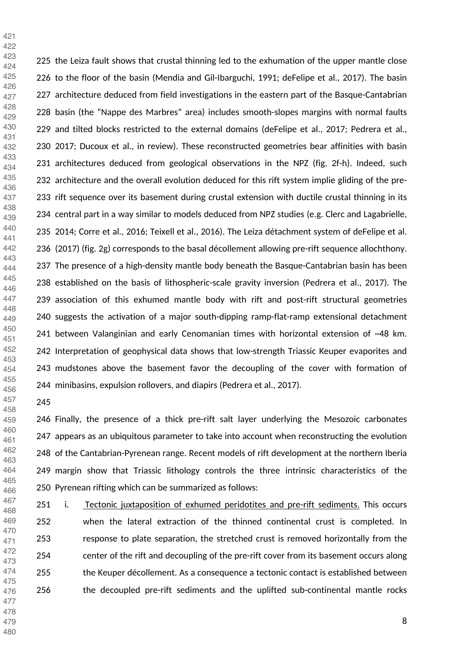225 the Leiza fault shows that crustal thinning led to the exhumation of the upper mantle close 226 to the floor of the basin (Mendia and Gil-Ibarguchi, 1991; deFelipe et al., 2017). The basin 227 architecture deduced from field investigations in the eastern part of the Basque-Cantabrian 228 basin (the "Nappe des Marbres" area) includes smooth-slopes margins with normal faults 229 and tilted blocks restricted to the external domains (deFelipe et al., 2017; Pedrera et al., 230 2017; Ducoux et al., in review). These reconstructed geometries bear affinities with basin 231 architectures deduced from geological observations in the NPZ (fig. 2f-h). Indeed, such 232 architecture and the overall evolution deduced for this rift system implie gliding of the pre-233 rift sequence over its basement during crustal extension with ductile crustal thinning in its 234 central part in a way similar to models deduced from NPZ studies (e.g. Clerc and Lagabrielle, 235 2014; Corre et al., 2016; Teixell et al., 2016). The Leiza détachment system of deFelipe et al. 236 (2017) (fig. 2g) corresponds to the basal décollement allowing pre-rift sequence allochthony. 237 The presence of a high-density mantle body beneath the Basque-Cantabrian basin has been 238 established on the basis of lithospheric-scale gravity inversion (Pedrera et al., 2017). The 239 association of this exhumed mantle body with rift and post-rift structural geometries 240 suggests the activation of a major south-dipping ramp-flat-ramp extensional detachment 241 between Valanginian and early Cenomanian times with horizontal extension of ~48 km. 242 Interpretation of geophysical data shows that low-strength Triassic Keuper evaporites and 243 mudstones above the basement favor the decoupling of the cover with formation of 244 minibasins, expulsion rollovers, and diapirs (Pedrera et al., 2017). 

 

 

246 Finally, the presence of a thick pre-rift salt layer underlying the Mesozoic carbonates 247 appears as an ubiquitous parameter to take into account when reconstructing the evolution 248 of the Cantabrian-Pyrenean range. Recent models of rift development at the northern Iberia 249 margin show that Triassic lithology controls the three intrinsic characteristics of the 250 Pyrenean rifting which can be summarized as follows: 

251 i. Tectonic juxtaposition of exhumed peridotites and pre-rift sediments. This occurs 252 when the lateral extraction of the thinned continental crust is completed. In 253 response to plate separation, the stretched crust is removed horizontally from the 254 center of the rift and decoupling of the pre-rift cover from its basement occurs along 255 the Keuper décollement. As a consequence a tectonic contact is established between 256 the decoupled pre-rift sediments and the uplifted sub-continental mantle rocks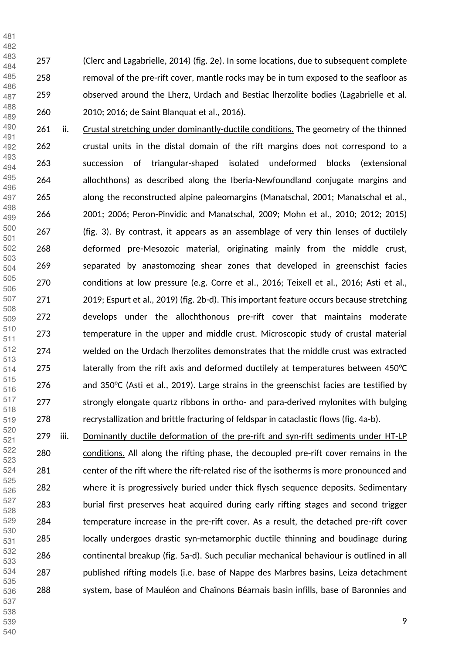257 (Clerc and Lagabrielle, 2014) (fig. 2e). In some locations, due to subsequent complete 258 removal of the pre-rift cover, mantle rocks may be in turn exposed to the seafloor as 259 observed around the Lherz, Urdach and Bestiac lherzolite bodies (Lagabrielle et al. 260 2010; 2016; de Saint Blanquat et al., 2016). 

261 ii. Crustal stretching under dominantly-ductile conditions. The geometry of the thinned 262 crustal units in the distal domain of the rift margins does not correspond to a 263 succession of triangular-shaped isolated undeformed blocks (extensional 264 allochthons) as described along the Iberia-Newfoundland conjugate margins and 265 along the reconstructed alpine paleomargins (Manatschal, 2001; Manatschal et al., 266 2001; 2006; Peron-Pinvidic and Manatschal, 2009; Mohn et al., 2010; 2012; 2015) 267 (fig. 3). By contrast, it appears as an assemblage of very thin lenses of ductilely 268 deformed pre-Mesozoic material, originating mainly from the middle crust, 269 separated by anastomozing shear zones that developed in greenschist facies 270 conditions at low pressure (e.g. Corre et al., 2016; Teixell et al., 2016; Asti et al., 271 2019; Espurt et al., 2019) (fig. 2b-d). This important feature occurs because stretching 272 develops under the allochthonous pre-rift cover that maintains moderate 273 temperature in the upper and middle crust. Microscopic study of crustal material 274 welded on the Urdach lherzolites demonstrates that the middle crust was extracted laterally from the rift axis and deformed ductilely at temperatures between 450 $\degree$ C 276 and 350°C (Asti et al., 2019). Large strains in the greenschist facies are testified by 277 strongly elongate quartz ribbons in ortho- and para-derived mylonites with bulging 278 recrystallization and brittle fracturing of feldspar in cataclastic flows (fig. 4a-b). 

279 iii. Dominantly ductile deformation of the pre-rift and syn-rift sediments under HT-LP 280 conditions. All along the rifting phase, the decoupled pre-rift cover remains in the 281 center of the rift where the rift-related rise of the isotherms is more pronounced and 282 where it is progressively buried under thick flysch sequence deposits. Sedimentary 283 burial first preserves heat acquired during early rifting stages and second trigger 284 temperature increase in the pre-rift cover. As a result, the detached pre-rift cover 285 locally undergoes drastic syn-metamorphic ductile thinning and boudinage during 286 continental breakup (fig. 5a-d). Such peculiar mechanical behaviour is outlined in all 287 published rifting models (i.e. base of Nappe des Marbres basins, Leiza detachment 288 system, base of Mauléon and Chaînons Béarnais basin infills, base of Baronnies and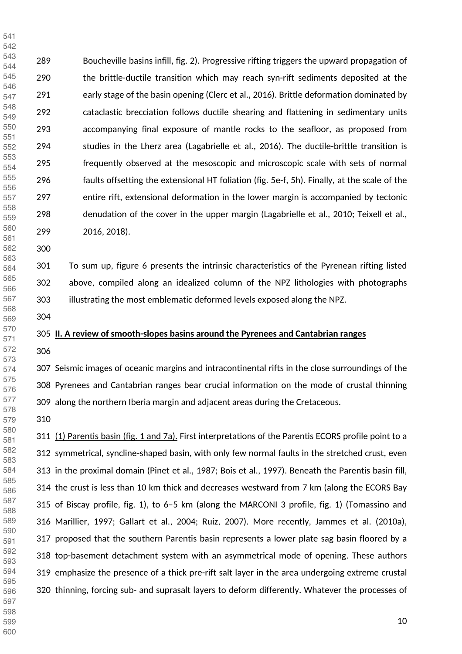289 Boucheville basins infill, fig. 2). Progressive rifting triggers the upward propagation of 290 the brittle-ductile transition which may reach syn-rift sediments deposited at the 291 early stage of the basin opening (Clerc et al., 2016). Brittle deformation dominated by 292 cataclastic brecciation follows ductile shearing and flattening in sedimentary units 293 accompanying final exposure of mantle rocks to the seafloor, as proposed from 294 studies in the Lherz area (Lagabrielle et al., 2016). The ductile-brittle transition is 295 frequently observed at the mesoscopic and microscopic scale with sets of normal 296 faults offsetting the extensional HT foliation (fig. 5e-f, 5h). Finally, at the scale of the 297 entire rift, extensional deformation in the lower margin is accompanied by tectonic 298 denudation of the cover in the upper margin (Lagabrielle et al., 2010; Teixell et al., 299 2016, 2018). 

 

 

> 301 To sum up, figure 6 presents the intrinsic characteristics of the Pyrenean rifting listed 302 above, compiled along an idealized column of the NPZ lithologies with photographs 303 illustrating the most emblematic deformed levels exposed along the NPZ.

#### **II. A review of smooth-slopes basins around the Pyrenees and Cantabrian ranges**

307 Seismic images of oceanic margins and intracontinental rifts in the close surroundings of the 308 Pyrenees and Cantabrian ranges bear crucial information on the mode of crustal thinning 309 along the northern Iberia margin and adjacent areas during the Cretaceous.

311 (1) Parentis basin (fig. 1 and 7a). First interpretations of the Parentis ECORS profile point to a 312 symmetrical, syncline-shaped basin, with only few normal faults in the stretched crust, even 313 in the proximal domain (Pinet et al., 1987; Bois et al., 1997). Beneath the Parentis basin fill, 314 the crust is less than 10 km thick and decreases westward from 7 km (along the ECORS Bay 315 of Biscay profile, fig. 1), to 6–5 km (along the MARCONI 3 profile, fig. 1) (Tomassino and 316 Marillier, 1997; Gallart et al., 2004; Ruiz, 2007). More recently, Jammes et al. (2010a), 317 proposed that the southern Parentis basin represents a lower plate sag basin floored by a 318 top-basement detachment system with an asymmetrical mode of opening. These authors 319 emphasize the presence of a thick pre-rift salt layer in the area undergoing extreme crustal 320 thinning, forcing sub- and suprasalt layers to deform differently. Whatever the processes of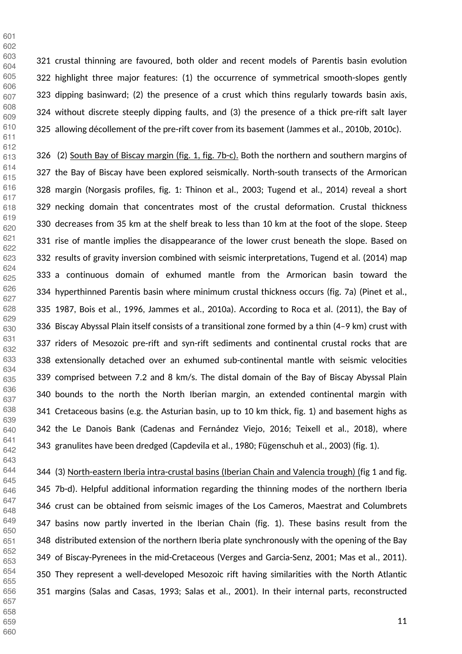321 crustal thinning are favoured, both older and recent models of Parentis basin evolution 322 highlight three major features: (1) the occurrence of symmetrical smooth-slopes gently 323 dipping basinward; (2) the presence of a crust which thins regularly towards basin axis, 324 without discrete steeply dipping faults, and (3) the presence of a thick pre-rift salt layer 325 allowing décollement of the pre-rift cover from its basement (Jammes et al., 2010b, 2010c).

326 (2) South Bay of Biscay margin (fig. 1, fig. 7b-c). Both the northern and southern margins of 327 the Bay of Biscay have been explored seismically. North-south transects of the Armorican 328 margin (Norgasis profiles, fig. 1: Thinon et al., 2003; Tugend et al., 2014) reveal a short 329 necking domain that concentrates most of the crustal deformation. Crustal thickness 330 decreases from 35 km at the shelf break to less than 10 km at the foot of the slope. Steep 331 rise of mantle implies the disappearance of the lower crust beneath the slope. Based on 332 results of gravity inversion combined with seismic interpretations, Tugend et al. (2014) map 333 a continuous domain of exhumed mantle from the Armorican basin toward the 334 hyperthinned Parentis basin where minimum crustal thickness occurs (fig. 7a) (Pinet et al., 335 1987, Bois et al., 1996, Jammes et al., 2010a). According to Roca et al. (2011), the Bay of 336 Biscay Abyssal Plain itself consists of a transitional zone formed by a thin (4–9 km) crust with 337 riders of Mesozoic pre-rift and syn-rift sediments and continental crustal rocks that are 338 extensionally detached over an exhumed sub-continental mantle with seismic velocities 339 comprised between 7.2 and 8 km/s. The distal domain of the Bay of Biscay Abyssal Plain 340 bounds to the north the North Iberian margin, an extended continental margin with 341 Cretaceous basins (e.g. the Asturian basin, up to 10 km thick, fig. 1) and basement highs as 342 the Le Danois Bank (Cadenas and Fernández Viejo, 2016; Teixell et al., 2018), where 343 granulites have been dredged (Capdevila et al., 1980; Fügenschuh et al., 2003) (fig. 1).

344 (3) North-eastern Iberia intra-crustal basins (Iberian Chain and Valencia trough) (fig 1 and fig. 345 7b-d). Helpful additional information regarding the thinning modes of the northern Iberia 346 crust can be obtained from seismic images of the Los Cameros, Maestrat and Columbrets 347 basins now partly inverted in the Iberian Chain (fig. 1). These basins result from the 348 distributed extension of the northern Iberia plate synchronously with the opening of the Bay 349 of Biscay-Pyrenees in the mid-Cretaceous (Verges and Garcia-Senz, 2001; Mas et al., 2011). 350 They represent a well-developed Mesozoic rift having similarities with the North Atlantic 351 margins (Salas and Casas, 1993; Salas et al., 2001). In their internal parts, reconstructed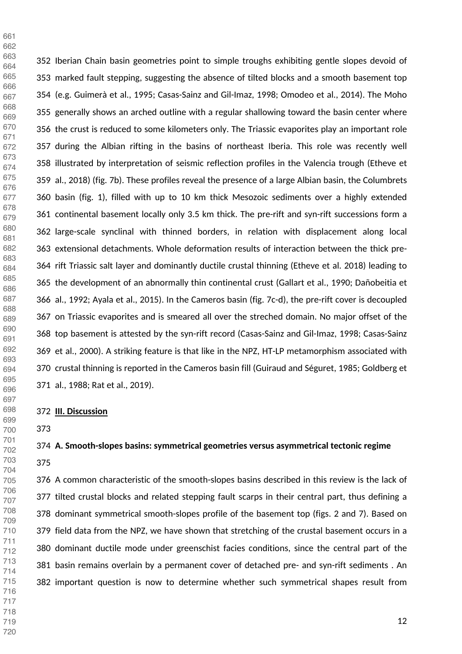352 Iberian Chain basin geometries point to simple troughs exhibiting gentle slopes devoid of 353 marked fault stepping, suggesting the absence of tilted blocks and a smooth basement top 354 (e.g. Guimerà et al., 1995; Casas-Sainz and Gil-Imaz, 1998; Omodeo et al., 2014). The Moho 355 generally shows an arched outline with a regular shallowing toward the basin center where 356 the crust is reduced to some kilometers only. The Triassic evaporites play an important role 357 during the Albian rifting in the basins of northeast Iberia. This role was recently well 358 illustrated by interpretation of seismic reflection profiles in the Valencia trough (Etheve et 359 al., 2018) (fig. 7b). These profiles reveal the presence of a large Albian basin, the Columbrets 360 basin (fig. 1), filled with up to 10 km thick Mesozoic sediments over a highly extended 361 continental basement locally only 3.5 km thick. The pre-rift and syn-rift successions form a 362 large-scale synclinal with thinned borders, in relation with displacement along local 363 extensional detachments. Whole deformation results of interaction between the thick pre-364 rift Triassic salt layer and dominantly ductile crustal thinning (Etheve et al. 2018) leading to 365 the development of an abnormally thin continental crust (Gallart et al., 1990; Dañobeitia et 366 al., 1992; Ayala et al., 2015). In the Cameros basin (fig. 7c-d), the pre-rift cover is decoupled 367 on Triassic evaporites and is smeared all over the streched domain. No major offset of the 368 top basement is attested by the syn-rift record (Casas-Sainz and Gil-Imaz, 1998; Casas-Sainz 369 et al., 2000). A striking feature is that like in the NPZ, HT-LP metamorphism associated with 370 crustal thinning is reported in the Cameros basin fill (Guiraud and Séguret, 1985; Goldberg et 371 al., 1988; Rat et al., 2019). 

#### **III. Discussion**

 

### **A. Smooth-slopes basins: symmetrical geometries versus asymmetrical tectonic regime**

376 A common characteristic of the smooth-slopes basins described in this review is the lack of 377 tilted crustal blocks and related stepping fault scarps in their central part, thus defining a 378 dominant symmetrical smooth-slopes profile of the basement top (figs. 2 and 7). Based on 379 field data from the NPZ, we have shown that stretching of the crustal basement occurs in a 380 dominant ductile mode under greenschist facies conditions, since the central part of the 381 basin remains overlain by a permanent cover of detached pre- and syn-rift sediments . An 382 important question is now to determine whether such symmetrical shapes result from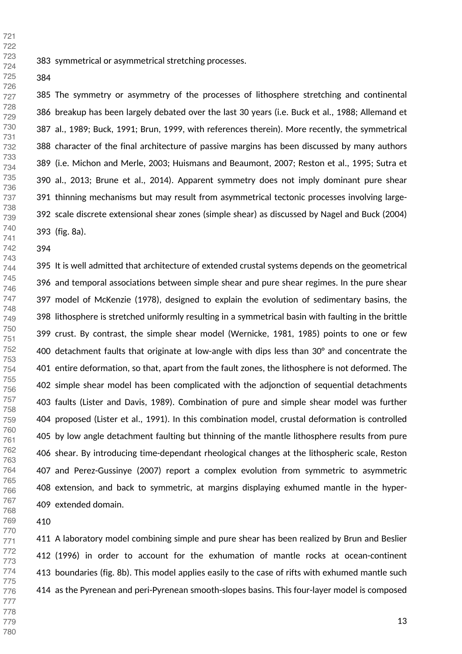383 symmetrical or asymmetrical stretching processes.

385 The symmetry or asymmetry of the processes of lithosphere stretching and continental 386 breakup has been largely debated over the last 30 years (i.e. Buck et al., 1988; Allemand et 387 al., 1989; Buck, 1991; Brun, 1999, with references therein). More recently, the symmetrical 388 character of the final architecture of passive margins has been discussed by many authors 389 (i.e. Michon and Merle, 2003; Huismans and Beaumont, 2007; Reston et al., 1995; Sutra et 390 al., 2013; Brune et al., 2014). Apparent symmetry does not imply dominant pure shear 391 thinning mechanisms but may result from asymmetrical tectonic processes involving large-392 scale discrete extensional shear zones (simple shear) as discussed by Nagel and Buck (2004) 393 (fig. 8a).

395 It is well admitted that architecture of extended crustal systems depends on the geometrical 396 and temporal associations between simple shear and pure shear regimes. In the pure shear 397 model of McKenzie (1978), designed to explain the evolution of sedimentary basins, the 398 lithosphere is stretched uniformly resulting in a symmetrical basin with faulting in the brittle 399 crust. By contrast, the simple shear model (Wernicke, 1981, 1985) points to one or few 400 detachment faults that originate at low-angle with dips less than  $30^{\circ}$  and concentrate the 401 entire deformation, so that, apart from the fault zones, the lithosphere is not deformed. The 402 simple shear model has been complicated with the adjonction of sequential detachments 403 faults (Lister and Davis, 1989). Combination of pure and simple shear model was further 404 proposed (Lister et al., 1991). In this combination model, crustal deformation is controlled 405 by low angle detachment faulting but thinning of the mantle lithosphere results from pure 406 shear. By introducing time-dependant rheological changes at the lithospheric scale, Reston 407 and Perez-Gussinye (2007) report a complex evolution from symmetric to asymmetric 408 extension, and back to symmetric, at margins displaying exhumed mantle in the hyper-409 extended domain.

411 A laboratory model combining simple and pure shear has been realized by Brun and Beslier 412 (1996) in order to account for the exhumation of mantle rocks at ocean-continent 413 boundaries (fig. 8b). This model applies easily to the case of rifts with exhumed mantle such 414 as the Pyrenean and peri-Pyrenean smooth-slopes basins. This four-layer model is composed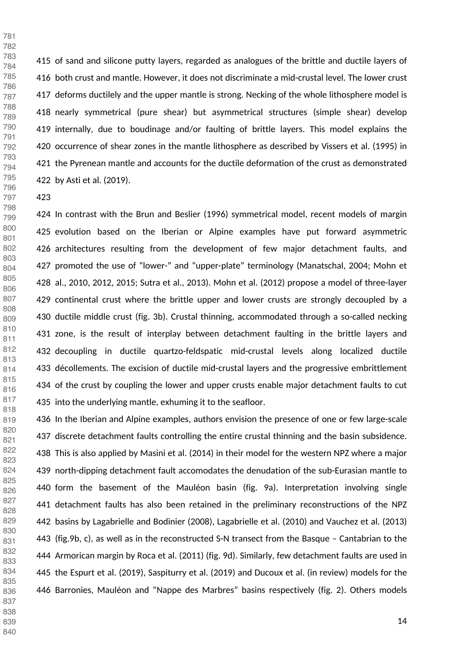415 of sand and silicone putty layers, regarded as analogues of the brittle and ductile layers of 416 both crust and mantle. However, it does not discriminate a mid-crustal level. The lower crust 417 deforms ductilely and the upper mantle is strong. Necking of the whole lithosphere model is 418 nearly symmetrical (pure shear) but asymmetrical structures (simple shear) develop 419 internally, due to boudinage and/or faulting of brittle layers. This model explains the 420 occurrence of shear zones in the mantle lithosphere as described by Vissers et al. (1995) in 421 the Pyrenean mantle and accounts for the ductile deformation of the crust as demonstrated 422 by Asti et al. (2019).

424 In contrast with the Brun and Beslier (1996) symmetrical model, recent models of margin 425 evolution based on the Iberian or Alpine examples have put forward asymmetric 426 architectures resulting from the development of few major detachment faults, and 427 promoted the use of "lower-" and "upper-plate" terminology (Manatschal, 2004; Mohn et 428 al., 2010, 2012, 2015; Sutra et al., 2013). Mohn et al. (2012) propose a model of three-layer 429 continental crust where the brittle upper and lower crusts are strongly decoupled by a 430 ductile middle crust (fig. 3b). Crustal thinning, accommodated through a so-called necking 431 zone, is the result of interplay between detachment faulting in the brittle layers and 432 decoupling in ductile quartzo-feldspatic mid-crustal levels along localized ductile 433 décollements. The excision of ductile mid-crustal layers and the progressive embrittlement 434 of the crust by coupling the lower and upper crusts enable major detachment faults to cut 435 into the underlying mantle, exhuming it to the seafloor.

436 In the Iberian and Alpine examples, authors envision the presence of one or few large-scale 437 discrete detachment faults controlling the entire crustal thinning and the basin subsidence. 438 This is also applied by Masini et al. (2014) in their model for the western NPZ where a major 439 north-dipping detachment fault accomodates the denudation of the sub-Eurasian mantle to 440 form the basement of the Mauléon basin (fig. 9a). Interpretation involving single 441 detachment faults has also been retained in the preliminary reconstructions of the NPZ 442 basins by Lagabrielle and Bodinier (2008), Lagabrielle et al. (2010) and Vauchez et al. (2013) 443 (fig.9b, c), as well as in the reconstructed S-N transect from the Basque – Cantabrian to the 444 Armorican margin by Roca et al. (2011) (fig. 9d). Similarly, few detachment faults are used in 445 the Espurt et al. (2019), Saspiturry et al. (2019) and Ducoux et al. (in review) models for the 446 Barronies, Mauléon and "Nappe des Marbres" basins respectively (fig. 2). Others models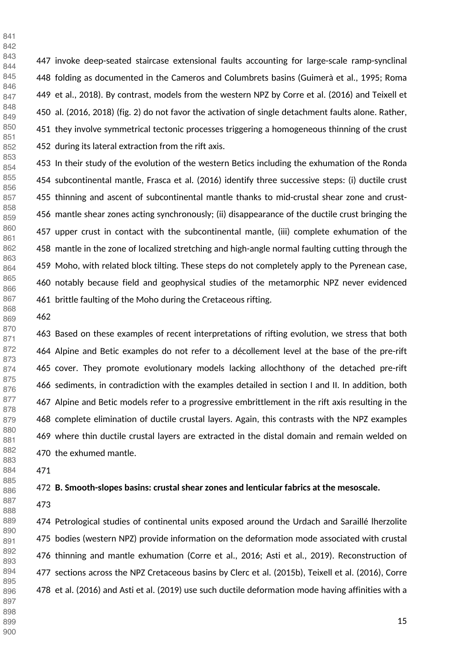447 invoke deep-seated staircase extensional faults accounting for large-scale ramp-synclinal 448 folding as documented in the Cameros and Columbrets basins (Guimerà et al., 1995; Roma 449 et al., 2018). By contrast, models from the western NPZ by Corre et al. (2016) and Teixell et 450 al. (2016, 2018) (fig. 2) do not favor the activation of single detachment faults alone. Rather, 451 they involve symmetrical tectonic processes triggering a homogeneous thinning of the crust 452 during its lateral extraction from the rift axis. 

453 In their study of the evolution of the western Betics including the exhumation of the Ronda 454 subcontinental mantle, Frasca et al. (2016) identify three successive steps: (i) ductile crust 455 thinning and ascent of subcontinental mantle thanks to mid-crustal shear zone and crust-456 mantle shear zones acting synchronously; (ii) disappearance of the ductile crust bringing the 457 upper crust in contact with the subcontinental mantle, (iii) complete exhumation of the 458 mantle in the zone of localized stretching and high-angle normal faulting cutting through the 459 Moho, with related block tilting. These steps do not completely apply to the Pyrenean case, 460 notably because field and geophysical studies of the metamorphic NPZ never evidenced 461 brittle faulting of the Moho during the Cretaceous rifting.

 

463 Based on these examples of recent interpretations of rifting evolution, we stress that both 464 Alpine and Betic examples do not refer to a décollement level at the base of the pre-rift 465 cover. They promote evolutionary models lacking allochthony of the detached pre-rift 466 sediments, in contradiction with the examples detailed in section I and II. In addition, both 467 Alpine and Betic models refer to a progressive embrittlement in the rift axis resulting in the 468 complete elimination of ductile crustal layers. Again, this contrasts with the NPZ examples 469 where thin ductile crustal layers are extracted in the distal domain and remain welded on 470 the exhumed mantle.

#### **B. Smooth-slopes basins: crustal shear zones and lenticular fabrics at the mesoscale.**

474 Petrological studies of continental units exposed around the Urdach and Saraillé lherzolite 475 bodies (western NPZ) provide information on the deformation mode associated with crustal 476 thinning and mantle exhumation (Corre et al., 2016; Asti et al., 2019). Reconstruction of 477 sections across the NPZ Cretaceous basins by Clerc et al. (2015b), Teixell et al. (2016), Corre 478 et al. (2016) and Asti et al. (2019) use such ductile deformation mode having affinities with a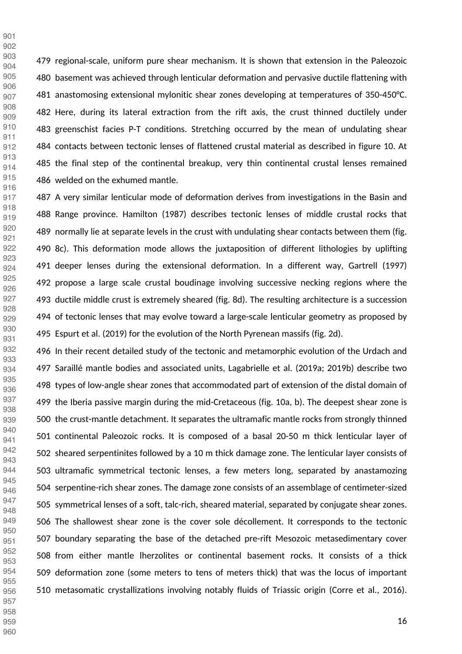479 regional-scale, uniform pure shear mechanism. It is shown that extension in the Paleozoic 480 basement was achieved through lenticular deformation and pervasive ductile flattening with 481 anastomosing extensional mylonitic shear zones developing at temperatures of 350-450°C. 482 Here, during its lateral extraction from the rift axis, the crust thinned ductilely under 483 greenschist facies P-T conditions. Stretching occurred by the mean of undulating shear 484 contacts between tectonic lenses of flattened crustal material as described in figure 10. At 485 the final step of the continental breakup, very thin continental crustal lenses remained 486 welded on the exhumed mantle.

487 A very similar lenticular mode of deformation derives from investigations in the Basin and 488 Range province. Hamilton (1987) describes tectonic lenses of middle crustal rocks that 489 normally lie at separate levels in the crust with undulating shear contacts between them (fig. 490 8c). This deformation mode allows the juxtaposition of different lithologies by uplifting 491 deeper lenses during the extensional deformation. In a different way, Gartrell (1997) 492 propose a large scale crustal boudinage involving successive necking regions where the 493 ductile middle crust is extremely sheared (fig. 8d). The resulting architecture is a succession 494 of tectonic lenses that may evolve toward a large-scale lenticular geometry as proposed by 495 Espurt et al. (2019) for the evolution of the North Pyrenean massifs (fig. 2d).

496 In their recent detailed study of the tectonic and metamorphic evolution of the Urdach and 497 Saraillé mantle bodies and associated units, Lagabrielle et al. (2019a; 2019b) describe two 498 types of low-angle shear zones that accommodated part of extension of the distal domain of 499 the Iberia passive margin during the mid-Cretaceous (fig. 10a, b). The deepest shear zone is 500 the crust-mantle detachment. It separates the ultramafic mantle rocks from strongly thinned 501 continental Paleozoic rocks. It is composed of a basal 20-50 m thick lenticular layer of 502 sheared serpentinites followed by a 10 m thick damage zone. The lenticular layer consists of 503 ultramafic symmetrical tectonic lenses, a few meters long, separated by anastamozing 504 serpentine-rich shear zones. The damage zone consists of an assemblage of centimeter-sized 505 symmetrical lenses of a soft, talc-rich, sheared material, separated by conjugate shear zones. 506 The shallowest shear zone is the cover sole décollement. It corresponds to the tectonic 507 boundary separating the base of the detached pre-rift Mesozoic metasedimentary cover 508 from either mantle lherzolites or continental basement rocks. It consists of a thick 509 deformation zone (some meters to tens of meters thick) that was the locus of important 510 metasomatic crystallizations involving notably fluids of Triassic origin (Corre et al., 2016).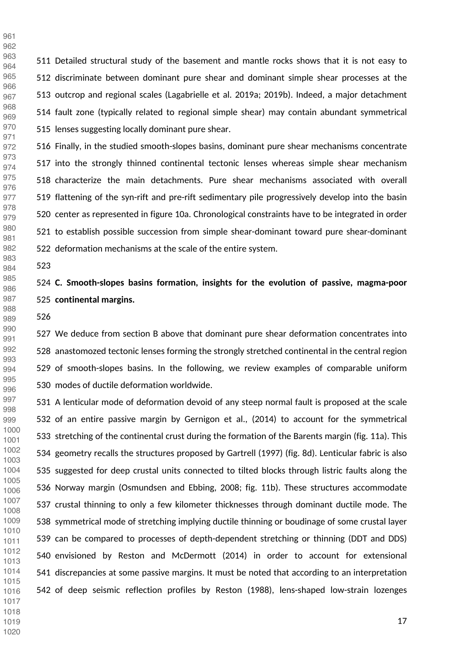511 Detailed structural study of the basement and mantle rocks shows that it is not easy to 512 discriminate between dominant pure shear and dominant simple shear processes at the 513 outcrop and regional scales (Lagabrielle et al. 2019a; 2019b). Indeed, a major detachment 514 fault zone (typically related to regional simple shear) may contain abundant symmetrical 515 lenses suggesting locally dominant pure shear. 

516 Finally, in the studied smooth-slopes basins, dominant pure shear mechanisms concentrate 517 into the strongly thinned continental tectonic lenses whereas simple shear mechanism 518 characterize the main detachments. Pure shear mechanisms associated with overall 519 flattening of the syn-rift and pre-rift sedimentary pile progressively develop into the basin 520 center as represented in figure 10a. Chronological constraints have to be integrated in order 521 to establish possible succession from simple shear-dominant toward pure shear-dominant 522 deformation mechanisms at the scale of the entire system. 

 

## **C. Smooth-slopes basins formation, insights for the evolution of passive, magma-poor continental margins.**

527 We deduce from section B above that dominant pure shear deformation concentrates into 528 anastomozed tectonic lenses forming the strongly stretched continental in the central region 529 of smooth-slopes basins. In the following, we review examples of comparable uniform 530 modes of ductile deformation worldwide.

531 A lenticular mode of deformation devoid of any steep normal fault is proposed at the scale 532 of an entire passive margin by Gernigon et al., (2014) to account for the symmetrical 533 stretching of the continental crust during the formation of the Barents margin (fig. 11a). This 534 geometry recalls the structures proposed by Gartrell (1997) (fig. 8d). Lenticular fabric is also 535 suggested for deep crustal units connected to tilted blocks through listric faults along the 536 Norway margin (Osmundsen and Ebbing, 2008; fig. 11b). These structures accommodate 537 crustal thinning to only a few kilometer thicknesses through dominant ductile mode. The 538 symmetrical mode of stretching implying ductile thinning or boudinage of some crustal layer 539 can be compared to processes of depth-dependent stretching or thinning (DDT and DDS) 540 envisioned by Reston and McDermott (2014) in order to account for extensional 541 discrepancies at some passive margins. It must be noted that according to an interpretation 542 of deep seismic reflection profiles by Reston (1988), lens-shaped low-strain lozenges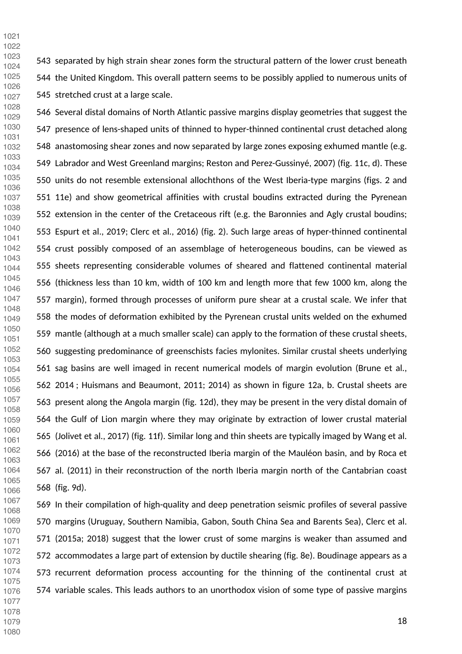543 separated by high strain shear zones form the structural pattern of the lower crust beneath 544 the United Kingdom. This overall pattern seems to be possibly applied to numerous units of 545 stretched crust at a large scale. 

546 Several distal domains of North Atlantic passive margins display geometries that suggest the 547 presence of lens-shaped units of thinned to hyper-thinned continental crust detached along 548 anastomosing shear zones and now separated by large zones exposing exhumed mantle (e.g. 549 Labrador and West Greenland margins; Reston and Perez-Gussinyé, 2007) (fig. 11c, d). These 550 units do not resemble extensional allochthons of the West Iberia-type margins (figs. 2 and 551 11e) and show geometrical affinities with crustal boudins extracted during the Pyrenean 552 extension in the center of the Cretaceous rift (e.g. the Baronnies and Agly crustal boudins; 553 Espurt et al., 2019; Clerc et al., 2016) (fig. 2). Such large areas of hyper-thinned continental 554 crust possibly composed of an assemblage of heterogeneous boudins, can be viewed as 555 sheets representing considerable volumes of sheared and flattened continental material 556 (thickness less than 10 km, width of 100 km and length more that few 1000 km, along the 557 margin), formed through processes of uniform pure shear at a crustal scale. We infer that 558 the modes of deformation exhibited by the Pyrenean crustal units welded on the exhumed 559 mantle (although at a much smaller scale) can apply to the formation of these crustal sheets, 560 suggesting predominance of greenschists facies mylonites. Similar crustal sheets underlying 561 sag basins are well imaged in recent numerical models of margin evolution (Brune et al., 562 2014 ; Huismans and Beaumont, 2011; 2014) as shown in figure 12a, b. Crustal sheets are 563 present along the Angola margin (fig. 12d), they may be present in the very distal domain of 564 the Gulf of Lion margin where they may originate by extraction of lower crustal material 565 (Jolivet et al., 2017) (fig. 11f). Similar long and thin sheets are typically imaged by Wang et al. 566 (2016) at the base of the reconstructed Iberia margin of the Mauléon basin, and by Roca et 567 al. (2011) in their reconstruction of the north Iberia margin north of the Cantabrian coast 568 (fig. 9d). 

569 In their compilation of high-quality and deep penetration seismic profiles of several passive 570 margins (Uruguay, Southern Namibia, Gabon, South China Sea and Barents Sea), Clerc et al. 571 (2015a; 2018) suggest that the lower crust of some margins is weaker than assumed and 572 accommodates a large part of extension by ductile shearing (fig. 8e). Boudinage appears as a 573 recurrent deformation process accounting for the thinning of the continental crust at 574 variable scales. This leads authors to an unorthodox vision of some type of passive margins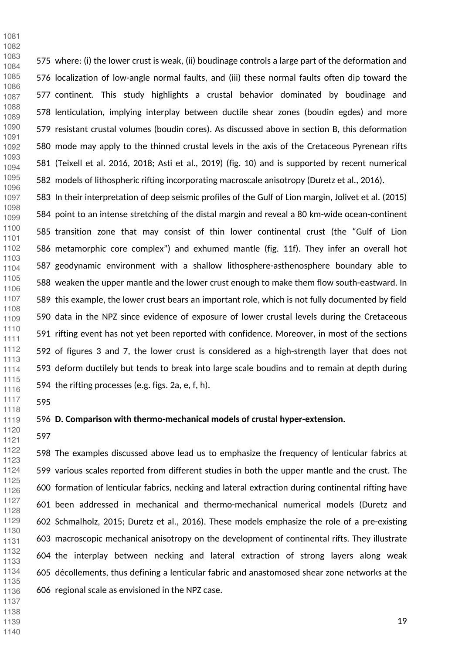575 where: (i) the lower crust is weak, (ii) boudinage controls a large part of the deformation and 576 localization of low-angle normal faults, and (iii) these normal faults often dip toward the 577 continent. This study highlights a crustal behavior dominated by boudinage and 578 lenticulation, implying interplay between ductile shear zones (boudin egdes) and more 579 resistant crustal volumes (boudin cores). As discussed above in section B, this deformation 580 mode may apply to the thinned crustal levels in the axis of the Cretaceous Pyrenean rifts 581 (Teixell et al. 2016, 2018; Asti et al., 2019) (fig. 10) and is supported by recent numerical 582 models of lithospheric rifting incorporating macroscale anisotropy (Duretz et al., 2016). 

583 In their interpretation of deep seismic profiles of the Gulf of Lion margin, Jolivet et al. (2015) 584 point to an intense stretching of the distal margin and reveal a 80 km-wide ocean-continent 585 transition zone that may consist of thin lower continental crust (the "Gulf of Lion 586 metamorphic core complex") and exhumed mantle (fig. 11f). They infer an overall hot 587 geodynamic environment with a shallow lithosphere-asthenosphere boundary able to 588 weaken the upper mantle and the lower crust enough to make them flow south-eastward. In 589 this example, the lower crust bears an important role, which is not fully documented by field 590 data in the NPZ since evidence of exposure of lower crustal levels during the Cretaceous 591 rifting event has not yet been reported with confidence. Moreover, in most of the sections 592 of figures 3 and 7, the lower crust is considered as a high-strength layer that does not 593 deform ductilely but tends to break into large scale boudins and to remain at depth during 594 the rifting processes (e.g. figs. 2a, e, f, h). 

 

 

#### **D. Comparison with thermo-mechanical models of crustal hyper-extension.**

 

598 The examples discussed above lead us to emphasize the frequency of lenticular fabrics at 599 various scales reported from different studies in both the upper mantle and the crust. The 600 formation of lenticular fabrics, necking and lateral extraction during continental rifting have 601 been addressed in mechanical and thermo-mechanical numerical models (Duretz and 602 Schmalholz, 2015; Duretz et al., 2016). These models emphasize the role of a pre-existing 603 macroscopic mechanical anisotropy on the development of continental rifts. They illustrate 604 the interplay between necking and lateral extraction of strong layers along weak 605 décollements, thus defining a lenticular fabric and anastomosed shear zone networks at the 606 regional scale as envisioned in the NPZ case.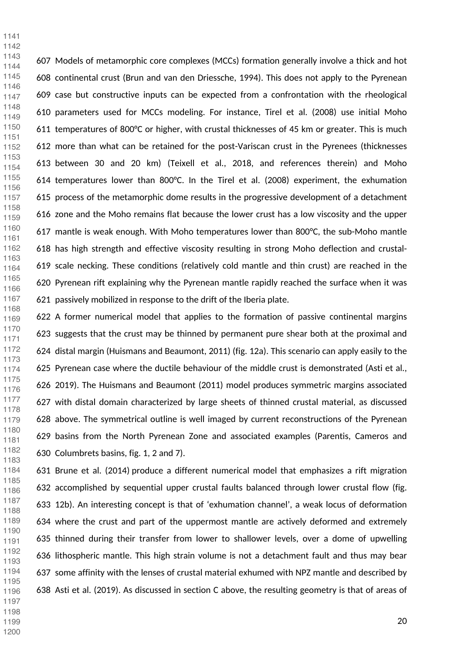607 Models of metamorphic core complexes (MCCs) formation generally involve a thick and hot 608 continental crust (Brun and van den Driessche, 1994). This does not apply to the Pyrenean 609 case but constructive inputs can be expected from a confrontation with the rheological 610 parameters used for MCCs modeling. For instance, Tirel et al. (2008) use initial Moho 611 temperatures of 800°C or higher, with crustal thicknesses of 45 km or greater. This is much 612 more than what can be retained for the post-Variscan crust in the Pyrenees (thicknesses 613 between 30 and 20 km) (Teixell et al., 2018, and references therein) and Moho 614 temperatures lower than 800°C. In the Tirel et al. (2008) experiment, the exhumation 615 process of the metamorphic dome results in the progressive development of a detachment 616 zone and the Moho remains flat because the lower crust has a low viscosity and the upper 617 mantle is weak enough. With Moho temperatures lower than 800°C, the sub-Moho mantle 618 has high strength and effective viscosity resulting in strong Moho deflection and crustal-619 scale necking. These conditions (relatively cold mantle and thin crust) are reached in the 620 Pyrenean rift explaining why the Pyrenean mantle rapidly reached the surface when it was 621 passively mobilized in response to the drift of the Iberia plate. 

622 A former numerical model that applies to the formation of passive continental margins 623 suggests that the crust may be thinned by permanent pure shear both at the proximal and 624 distal margin (Huismans and Beaumont, 2011) (fig. 12a). This scenario can apply easily to the 625 Pyrenean case where the ductile behaviour of the middle crust is demonstrated (Asti et al., 626 2019). The Huismans and Beaumont (2011) model produces symmetric margins associated 627 with distal domain characterized by large sheets of thinned crustal material, as discussed 628 above. The symmetrical outline is well imaged by current reconstructions of the Pyrenean 629 basins from the North Pyrenean Zone and associated examples (Parentis, Cameros and 630 Columbrets basins, fig. 1, 2 and 7). 

631 Brune et al. (2014) produce a different numerical model that emphasizes a rift migration 632 accomplished by sequential upper crustal faults balanced through lower crustal flow (fig. 633 12b). An interesting concept is that of 'exhumation channel', a weak locus of deformation 634 where the crust and part of the uppermost mantle are actively deformed and extremely 635 thinned during their transfer from lower to shallower levels, over a dome of upwelling 636 lithospheric mantle. This high strain volume is not a detachment fault and thus may bear 637 some affinity with the lenses of crustal material exhumed with NPZ mantle and described by 638 Asti et al. (2019). As discussed in section C above, the resulting geometry is that of areas of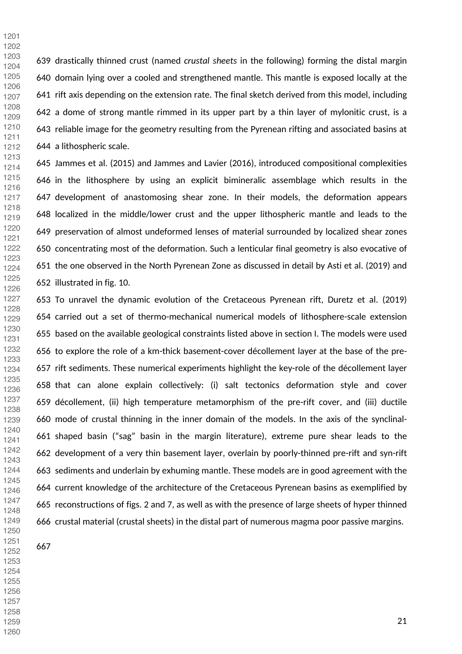639 drastically thinned crust (named *crustal sheets* in the following) forming the distal margin 640 domain lying over a cooled and strengthened mantle. This mantle is exposed locally at the 641 rift axis depending on the extension rate. The final sketch derived from this model, including 642 a dome of strong mantle rimmed in its upper part by a thin layer of mylonitic crust, is a 643 reliable image for the geometry resulting from the Pyrenean rifting and associated basins at 644 a lithospheric scale. 

645 Jammes et al. (2015) and Jammes and Lavier (2016), introduced compositional complexities 646 in the lithosphere by using an explicit bimineralic assemblage which results in the 647 development of anastomosing shear zone. In their models, the deformation appears 648 localized in the middle/lower crust and the upper lithospheric mantle and leads to the 649 preservation of almost undeformed lenses of material surrounded by localized shear zones 650 concentrating most of the deformation. Such a lenticular final geometry is also evocative of 651 the one observed in the North Pyrenean Zone as discussed in detail by Asti et al. (2019) and 652 illustrated in fig. 10. 

653 To unravel the dynamic evolution of the Cretaceous Pyrenean rift, Duretz et al. (2019) 654 carried out a set of thermo-mechanical numerical models of lithosphere-scale extension 655 based on the available geological constraints listed above in section I. The models were used 656 to explore the role of a km-thick basement-cover décollement layer at the base of the pre-657 rift sediments. These numerical experiments highlight the key-role of the décollement layer 658 that can alone explain collectively: (i) salt tectonics deformation style and cover 659 décollement, (ii) high temperature metamorphism of the pre-rift cover, and (iii) ductile 660 mode of crustal thinning in the inner domain of the models. In the axis of the synclinal-661 shaped basin ("sag" basin in the margin literature), extreme pure shear leads to the 662 development of a very thin basement layer, overlain by poorly-thinned pre-rift and syn-rift 663 sediments and underlain by exhuming mantle. These models are in good agreement with the 664 current knowledge of the architecture of the Cretaceous Pyrenean basins as exemplified by 665 reconstructions of figs. 2 and 7, as well as with the presence of large sheets of hyper thinned 666 crustal material (crustal sheets) in the distal part of numerous magma poor passive margins. 

 

 

- 
- 
- 
-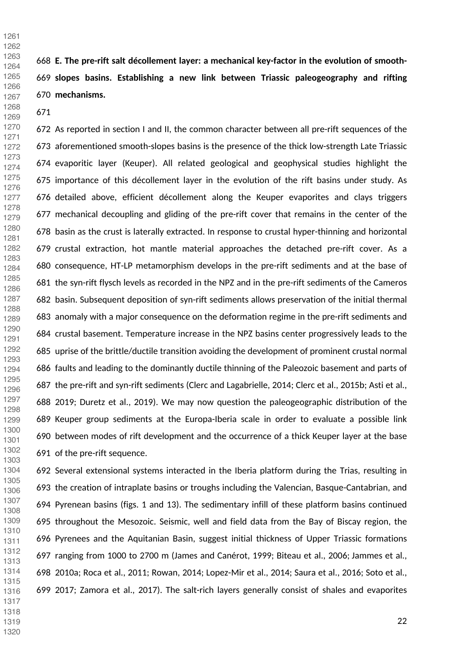**E. The pre-rift salt décollement layer: a mechanical key-factor in the evolution of smooth- slopes basins. Establishing a new link between Triassic paleogeography and rifting mechanisms.**

 

672 As reported in section I and II, the common character between all pre-rift sequences of the 673 aforementioned smooth-slopes basins is the presence of the thick low-strength Late Triassic 674 evaporitic layer (Keuper). All related geological and geophysical studies highlight the 675 importance of this décollement layer in the evolution of the rift basins under study. As 676 detailed above, efficient décollement along the Keuper evaporites and clays triggers 677 mechanical decoupling and gliding of the pre-rift cover that remains in the center of the 678 basin as the crust is laterally extracted. In response to crustal hyper-thinning and horizontal 679 crustal extraction, hot mantle material approaches the detached pre-rift cover. As a 680 consequence, HT-LP metamorphism develops in the pre-rift sediments and at the base of 681 the syn-rift flysch levels as recorded in the NPZ and in the pre-rift sediments of the Cameros 682 basin. Subsequent deposition of syn-rift sediments allows preservation of the initial thermal 683 anomaly with a major consequence on the deformation regime in the pre-rift sediments and 684 crustal basement. Temperature increase in the NPZ basins center progressively leads to the 685 uprise of the brittle/ductile transition avoiding the development of prominent crustal normal 686 faults and leading to the dominantly ductile thinning of the Paleozoic basement and parts of 687 the pre-rift and syn-rift sediments (Clerc and Lagabrielle, 2014; Clerc et al., 2015b; Asti et al., 688 2019; Duretz et al., 2019). We may now question the paleogeographic distribution of the 689 Keuper group sediments at the Europa-Iberia scale in order to evaluate a possible link 690 between modes of rift development and the occurrence of a thick Keuper layer at the base 691 of the pre-rift sequence. 

692 Several extensional systems interacted in the Iberia platform during the Trias, resulting in 693 the creation of intraplate basins or troughs including the Valencian, Basque-Cantabrian, and 694 Pyrenean basins (figs. 1 and 13). The sedimentary infill of these platform basins continued 695 throughout the Mesozoic. Seismic, well and field data from the Bay of Biscay region, the 696 Pyrenees and the Aquitanian Basin, suggest initial thickness of Upper Triassic formations 697 ranging from 1000 to 2700 m (James and Canérot, 1999; Biteau et al., 2006; Jammes et al., 698 2010a; Roca et al., 2011; Rowan, 2014; Lopez-Mir et al., 2014; Saura et al., 2016; Soto et al., 699 2017; Zamora et al., 2017). The salt-rich layers generally consist of shales and evaporites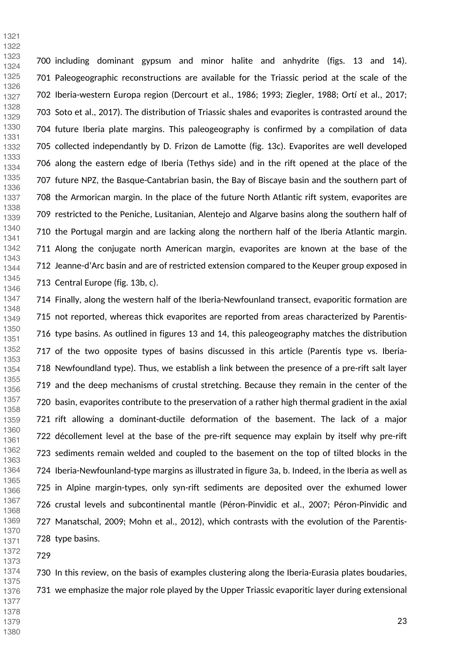700 including dominant gypsum and minor halite and anhydrite (figs. 13 and 14). 701 Paleogeographic reconstructions are available for the Triassic period at the scale of the 702 Iberia-western Europa region (Dercourt et al., 1986; 1993; Ziegler, 1988; Ortí et al., 2017; 703 Soto et al., 2017). The distribution of Triassic shales and evaporites is contrasted around the 704 future Iberia plate margins. This paleogeography is confirmed by a compilation of data 705 collected independantly by D. Frizon de Lamotte (fig. 13c). Evaporites are well developed 706 along the eastern edge of Iberia (Tethys side) and in the rift opened at the place of the 707 future NPZ, the Basque-Cantabrian basin, the Bay of Biscaye basin and the southern part of 708 the Armorican margin. In the place of the future North Atlantic rift system, evaporites are 709 restricted to the Peniche, Lusitanian, Alentejo and Algarve basins along the southern half of 710 the Portugal margin and are lacking along the northern half of the Iberia Atlantic margin. 711 Along the conjugate north American margin, evaporites are known at the base of the 712 Jeanne-d'Arc basin and are of restricted extension compared to the Keuper group exposed in 713 Central Europe (fig. 13b, c). 

714 Finally, along the western half of the Iberia-Newfounland transect, evaporitic formation are 715 not reported, whereas thick evaporites are reported from areas characterized by Parentis-716 type basins. As outlined in figures 13 and 14, this paleogeography matches the distribution 717 of the two opposite types of basins discussed in this article (Parentis type vs. Iberia-718 Newfoundland type). Thus, we establish a link between the presence of a pre-rift salt layer 719 and the deep mechanisms of crustal stretching. Because they remain in the center of the 720 basin, evaporites contribute to the preservation of a rather high thermal gradient in the axial 721 rift allowing a dominant-ductile deformation of the basement. The lack of a major 722 décollement level at the base of the pre-rift sequence may explain by itself why pre-rift 723 sediments remain welded and coupled to the basement on the top of tilted blocks in the 724 Iberia-Newfounland-type margins as illustrated in figure 3a, b. Indeed, in the Iberia as well as 725 in Alpine margin-types, only syn-rift sediments are deposited over the exhumed lower 726 crustal levels and subcontinental mantle (Péron-Pinvidic et al., 2007; Péron-Pinvidic and 727 Manatschal, 2009; Mohn et al., 2012), which contrasts with the evolution of the Parentis-728 type basins. 

 

730 In this review, on the basis of examples clustering along the Iberia-Eurasia plates boudaries, 731 we emphasize the major role played by the Upper Triassic evaporitic layer during extensional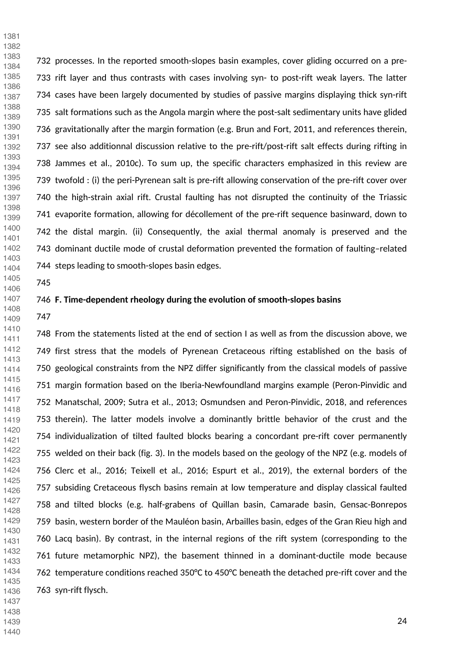732 processes. In the reported smooth-slopes basin examples, cover gliding occurred on a pre-733 rift layer and thus contrasts with cases involving syn- to post-rift weak layers. The latter 734 cases have been largely documented by studies of passive margins displaying thick syn-rift 735 salt formations such as the Angola margin where the post-salt sedimentary units have glided 736 gravitationally after the margin formation (e.g. Brun and Fort, 2011, and references therein, 737 see also additionnal discussion relative to the pre-rift/post-rift salt effects during rifting in 738 Jammes et al., 2010c). To sum up, the specific characters emphasized in this review are 739 twofold : (i) the peri-Pyrenean salt is pre-rift allowing conservation of the pre-rift cover over 740 the high-strain axial rift. Crustal faulting has not disrupted the continuity of the Triassic 741 evaporite formation, allowing for décollement of the pre-rift sequence basinward, down to 742 the distal margin. (ii) Consequently, the axial thermal anomaly is preserved and the 743 dominant ductile mode of crustal deformation prevented the formation of faulting–related 744 steps leading to smooth-slopes basin edges. 

 

 

#### **F. Time-dependent rheology during the evolution of smooth-slopes basins**

 

 

748 From the statements listed at the end of section I as well as from the discussion above, we 749 first stress that the models of Pyrenean Cretaceous rifting established on the basis of 750 geological constraints from the NPZ differ significantly from the classical models of passive 751 margin formation based on the Iberia-Newfoundland margins example (Peron-Pinvidic and 752 Manatschal, 2009; Sutra et al., 2013; Osmundsen and Peron-Pinvidic, 2018, and references 753 therein). The latter models involve a dominantly brittle behavior of the crust and the 754 individualization of tilted faulted blocks bearing a concordant pre-rift cover permanently 755 welded on their back (fig. 3). In the models based on the geology of the NPZ (e.g. models of 756 Clerc et al., 2016; Teixell et al., 2016; Espurt et al., 2019), the external borders of the 757 subsiding Cretaceous flysch basins remain at low temperature and display classical faulted 758 and tilted blocks (e.g. half-grabens of Quillan basin, Camarade basin, Gensac-Bonrepos 759 basin, western border of the Mauléon basin, Arbailles basin, edges of the Gran Rieu high and 760 Lacq basin). By contrast, in the internal regions of the rift system (corresponding to the 761 future metamorphic NPZ), the basement thinned in a dominant-ductile mode because 762 temperature conditions reached 350°C to 450°C beneath the detached pre-rift cover and the 763 syn-rift flysch. 

- 
-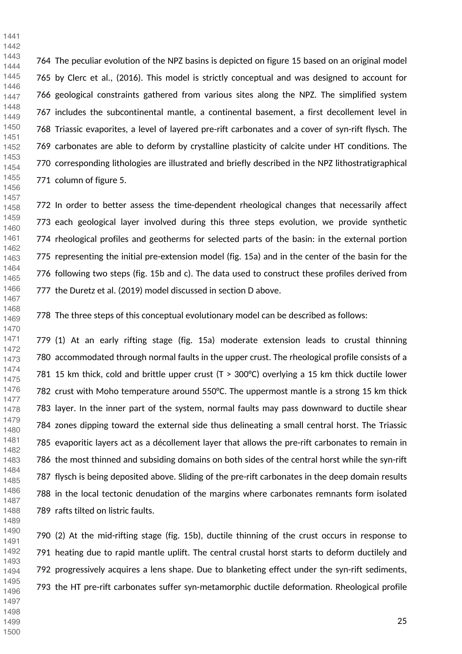764 The peculiar evolution of the NPZ basins is depicted on figure 15 based on an original model 765 by Clerc et al., (2016). This model is strictly conceptual and was designed to account for 766 geological constraints gathered from various sites along the NPZ. The simplified system 767 includes the subcontinental mantle, a continental basement, a first decollement level in 768 Triassic evaporites, a level of layered pre-rift carbonates and a cover of syn-rift flysch. The 769 carbonates are able to deform by crystalline plasticity of calcite under HT conditions. The 770 corresponding lithologies are illustrated and briefly described in the NPZ lithostratigraphical 771 column of figure 5. 

772 In order to better assess the time-dependent rheological changes that necessarily affect 773 each geological layer involved during this three steps evolution, we provide synthetic 774 rheological profiles and geotherms for selected parts of the basin: in the external portion 775 representing the initial pre-extension model (fig. 15a) and in the center of the basin for the 776 following two steps (fig. 15b and c). The data used to construct these profiles derived from 777 the Duretz et al. (2019) model discussed in section D above. 

778 The three steps of this conceptual evolutionary model can be described as follows:

779 (1) At an early rifting stage (fig. 15a) moderate extension leads to crustal thinning 780 accommodated through normal faults in the upper crust. The rheological profile consists of a 781 15 km thick, cold and brittle upper crust ( $T > 300^{\circ}$ C) overlying a 15 km thick ductile lower 782 crust with Moho temperature around 550°C. The uppermost mantle is a strong 15 km thick 783 layer. In the inner part of the system, normal faults may pass downward to ductile shear 784 zones dipping toward the external side thus delineating a small central horst. The Triassic 785 evaporitic layers act as a décollement layer that allows the pre-rift carbonates to remain in 786 the most thinned and subsiding domains on both sides of the central horst while the syn-rift 787 flysch is being deposited above. Sliding of the pre-rift carbonates in the deep domain results 788 in the local tectonic denudation of the margins where carbonates remnants form isolated 789 rafts tilted on listric faults. 

790 (2) At the mid-rifting stage (fig. 15b), ductile thinning of the crust occurs in response to 791 heating due to rapid mantle uplift. The central crustal horst starts to deform ductilely and 792 progressively acquires a lens shape. Due to blanketing effect under the syn-rift sediments, 793 the HT pre-rift carbonates suffer syn-metamorphic ductile deformation. Rheological profile 

 

 

- 
-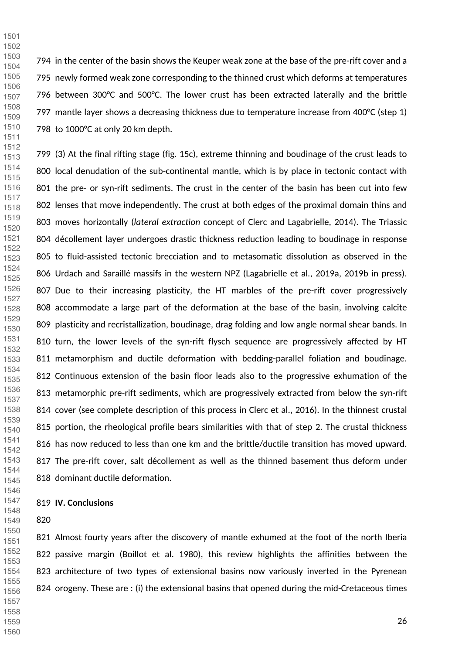794 in the center of the basin shows the Keuper weak zone at the base of the pre-rift cover and a 795 newly formed weak zone corresponding to the thinned crust which deforms at temperatures 796 between 300°C and 500°C. The lower crust has been extracted laterally and the brittle 797 mantle layer shows a decreasing thickness due to temperature increase from 400°C (step 1) 798 to 1000°C at only 20 km depth.

799 (3) At the final rifting stage (fig. 15c), extreme thinning and boudinage of the crust leads to 800 local denudation of the sub-continental mantle, which is by place in tectonic contact with 801 the pre- or syn-rift sediments. The crust in the center of the basin has been cut into few 802 lenses that move independently. The crust at both edges of the proximal domain thins and 803 moves horizontally (*lateral extraction* concept of Clerc and Lagabrielle, 2014). The Triassic 804 décollement layer undergoes drastic thickness reduction leading to boudinage in response 805 to fluid-assisted tectonic brecciation and to metasomatic dissolution as observed in the 806 Urdach and Saraillé massifs in the western NPZ (Lagabrielle et al., 2019a, 2019b in press). 807 Due to their increasing plasticity, the HT marbles of the pre-rift cover progressively 808 accommodate a large part of the deformation at the base of the basin, involving calcite 809 plasticity and recristallization, boudinage, drag folding and low angle normal shear bands. In 810 turn, the lower levels of the syn-rift flysch sequence are progressively affected by HT 811 metamorphism and ductile deformation with bedding-parallel foliation and boudinage. 812 Continuous extension of the basin floor leads also to the progressive exhumation of the 813 metamorphic pre-rift sediments, which are progressively extracted from below the syn-rift 814 cover (see complete description of this process in Clerc et al., 2016). In the thinnest crustal 815 portion, the rheological profile bears similarities with that of step 2. The crustal thickness 816 has now reduced to less than one km and the brittle/ductile transition has moved upward. 817 The pre-rift cover, salt décollement as well as the thinned basement thus deform under 818 dominant ductile deformation.

#### **IV. Conclusions**

821 Almost fourty years after the discovery of mantle exhumed at the foot of the north Iberia 822 passive margin (Boillot et al. 1980), this review highlights the affinities between the 823 architecture of two types of extensional basins now variously inverted in the Pyrenean 824 orogeny. These are : (i) the extensional basins that opened during the mid-Cretaceous times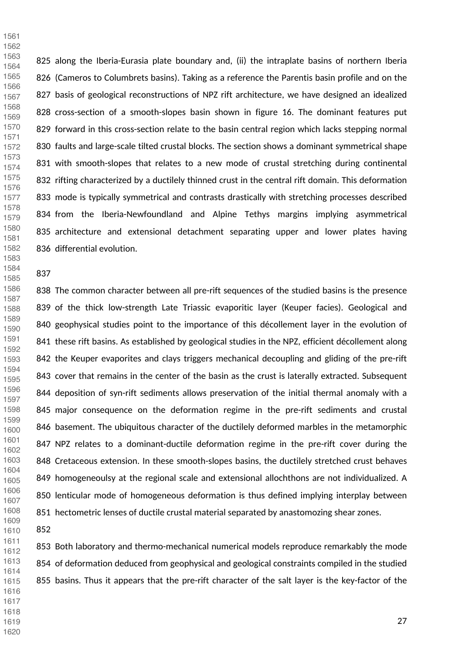825 along the Iberia-Eurasia plate boundary and, (ii) the intraplate basins of northern Iberia 826 (Cameros to Columbrets basins). Taking as a reference the Parentis basin profile and on the 827 basis of geological reconstructions of NPZ rift architecture, we have designed an idealized 828 cross-section of a smooth-slopes basin shown in figure 16. The dominant features put 829 forward in this cross-section relate to the basin central region which lacks stepping normal 830 faults and large-scale tilted crustal blocks. The section shows a dominant symmetrical shape 831 with smooth-slopes that relates to a new mode of crustal stretching during continental 832 rifting characterized by a ductilely thinned crust in the central rift domain. This deformation 833 mode is typically symmetrical and contrasts drastically with stretching processes described 834 from the Iberia-Newfoundland and Alpine Tethys margins implying asymmetrical 835 architecture and extensional detachment separating upper and lower plates having 836 differential evolution. 

#### 

 

 

838 The common character between all pre-rift sequences of the studied basins is the presence 839 of the thick low-strength Late Triassic evaporitic layer (Keuper facies). Geological and 840 geophysical studies point to the importance of this décollement layer in the evolution of 841 these rift basins. As established by geological studies in the NPZ, efficient décollement along 842 the Keuper evaporites and clays triggers mechanical decoupling and gliding of the pre-rift 843 cover that remains in the center of the basin as the crust is laterally extracted. Subsequent 844 deposition of syn-rift sediments allows preservation of the initial thermal anomaly with a 845 major consequence on the deformation regime in the pre-rift sediments and crustal 846 basement. The ubiquitous character of the ductilely deformed marbles in the metamorphic 847 NPZ relates to a dominant-ductile deformation regime in the pre-rift cover during the 848 Cretaceous extension. In these smooth-slopes basins, the ductilely stretched crust behaves 849 homogeneoulsy at the regional scale and extensional allochthons are not individualized. A 850 lenticular mode of homogeneous deformation is thus defined implying interplay between 851 hectometric lenses of ductile crustal material separated by anastomozing shear zones. 

 

853 Both laboratory and thermo-mechanical numerical models reproduce remarkably the mode 854 of deformation deduced from geophysical and geological constraints compiled in the studied 855 basins. Thus it appears that the pre-rift character of the salt layer is the key-factor of the 

- 
- 
- 
-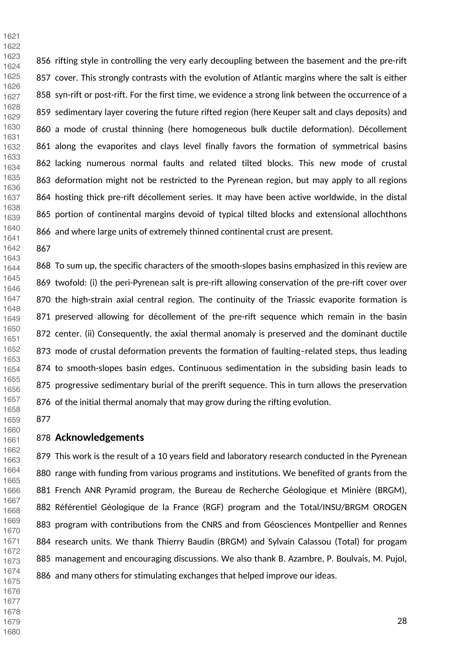856 rifting style in controlling the very early decoupling between the basement and the pre-rift 857 cover. This strongly contrasts with the evolution of Atlantic margins where the salt is either 858 syn-rift or post-rift. For the first time, we evidence a strong link between the occurrence of a 859 sedimentary layer covering the future rifted region (here Keuper salt and clays deposits) and 860 a mode of crustal thinning (here homogeneous bulk ductile deformation). Décollement 861 along the evaporites and clays level finally favors the formation of symmetrical basins 862 lacking numerous normal faults and related tilted blocks. This new mode of crustal 863 deformation might not be restricted to the Pyrenean region, but may apply to all regions 864 hosting thick pre-rift décollement series. It may have been active worldwide, in the distal 865 portion of continental margins devoid of typical tilted blocks and extensional allochthons 866 and where large units of extremely thinned continental crust are present. 

 

 

868 To sum up, the specific characters of the smooth-slopes basins emphasized in this review are 869 twofold: (i) the peri-Pyrenean salt is pre-rift allowing conservation of the pre-rift cover over 870 the high-strain axial central region. The continuity of the Triassic evaporite formation is 871 preserved allowing for décollement of the pre-rift sequence which remain in the basin 872 center. (ii) Consequently, the axial thermal anomaly is preserved and the dominant ductile 873 mode of crustal deformation prevents the formation of faulting–related steps, thus leading 874 to smooth-slopes basin edges. Continuous sedimentation in the subsiding basin leads to 875 progressive sedimentary burial of the prerift sequence. This in turn allows the preservation 876 of the initial thermal anomaly that may grow during the rifting evolution. 

 

 

#### **Acknowledgements**

879 This work is the result of a 10 years field and laboratory research conducted in the Pyrenean 880 range with funding from various programs and institutions. We benefited of grants from the 881 French ANR Pyramid program, the Bureau de Recherche Géologique et Minière (BRGM), 882 Référentiel Géologique de la France (RGF) program and the Total/INSU/BRGM OROGEN 883 program with contributions from the CNRS and from Géosciences Montpellier and Rennes 884 research units. We thank Thierry Baudin (BRGM) and Sylvain Calassou (Total) for progam 885 management and encouraging discussions. We also thank B. Azambre, P. Boulvais, M. Pujol, 886 and many others for stimulating exchanges that helped improve our ideas. 

- 
- 
- 
-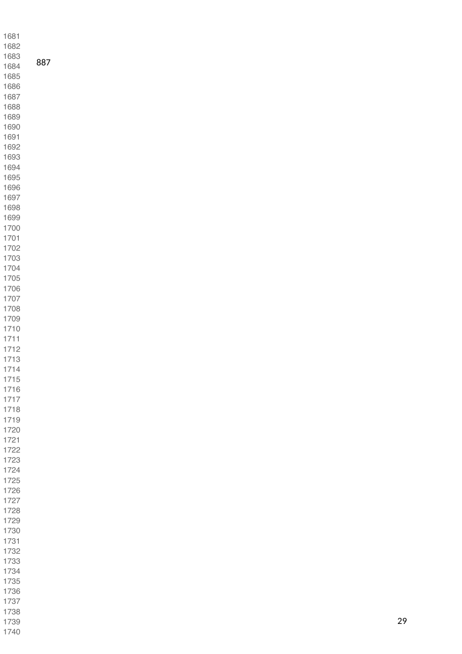| 1681         |     |
|--------------|-----|
| 1682         |     |
| 1683         |     |
| 1684         | 887 |
| 1685         |     |
| 1686         |     |
| 1687         |     |
| 1688         |     |
| 1689         |     |
| 1690         |     |
| 1691<br>1692 |     |
| 1693         |     |
| 1694         |     |
| 1695         |     |
| 1696         |     |
| 1697         |     |
| 1698         |     |
| 1699         |     |
| 1700         |     |
| 1701         |     |
| 1702         |     |
| 1703<br>1704 |     |
| 1705         |     |
| 1706         |     |
| 1707         |     |
| 1708         |     |
| 1709         |     |
| 1710         |     |
| 1711         |     |
| 1712         |     |
| 1713         |     |
| 1714<br>1715 |     |
| 1716         |     |
| 1717         |     |
| 1718         |     |
| 1719         |     |
| 1720         |     |
| 1721         |     |
| 1722         |     |
| 1723         |     |
| 1724         |     |
| 1725<br>1726 |     |
| 1727         |     |
| 1728         |     |
| 1729         |     |
| 1730         |     |
| 1731         |     |
| 1732         |     |
| 1733         |     |
| 1734         |     |
| 1735         |     |
| 1736         |     |
| 1737         |     |
| 1738<br>1739 |     |
| 1740         |     |
|              |     |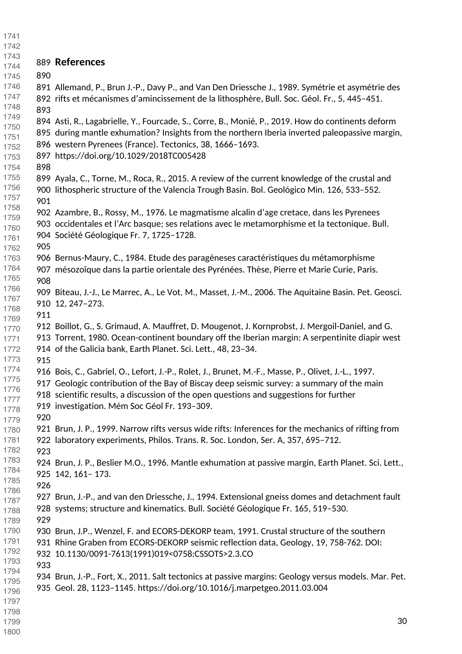| 1741         |     |                                                                                                      |
|--------------|-----|------------------------------------------------------------------------------------------------------|
| 1742         |     |                                                                                                      |
| 1743         |     | 889 References                                                                                       |
| 1744         |     |                                                                                                      |
| 1745         | 890 |                                                                                                      |
| 1746         |     | 891 Allemand, P., Brun J.-P., Davy P., and Van Den Driessche J., 1989. Symétrie et asymétrie des     |
| 1747         |     | 892 rifts et mécanismes d'amincissement de la lithosphère, Bull. Soc. Géol. Fr., 5, 445-451.         |
| 1748         | 893 |                                                                                                      |
| 1749<br>1750 |     | 894 Asti, R., Lagabrielle, Y., Fourcade, S., Corre, B., Monié, P., 2019. How do continents deform    |
| 1751         |     | 895 during mantle exhumation? Insights from the northern Iberia inverted paleopassive margin,        |
| 1752         |     | 896 western Pyrenees (France). Tectonics, 38, 1666-1693.                                             |
| 1753         |     | 897 https://doi.org/10.1029/2018TC005428                                                             |
| 1754         | 898 |                                                                                                      |
| 1755         |     | 899 Ayala, C., Torne, M., Roca, R., 2015. A review of the current knowledge of the crustal and       |
| 1756         |     | 900 lithospheric structure of the Valencia Trough Basin. Bol. Geológico Min. 126, 533-552.           |
| 1757         | 901 |                                                                                                      |
| 1758         |     |                                                                                                      |
| 1759         |     | 902 Azambre, B., Rossy, M., 1976. Le magmatisme alcalin d'age cretace, dans les Pyrenees             |
| 1760         |     | 903 occidentales et l'Arc basque; ses relations avec le metamorphisme et la tectonique. Bull.        |
| 1761         |     | 904 Société Géologique Fr. 7, 1725-1728.                                                             |
| 1762         | 905 |                                                                                                      |
| 1763         |     | 906 Bernus-Maury, C., 1984. Etude des paragéneses caractéristiques du métamorphisme                  |
| 1764         |     | 907 mésozoïque dans la partie orientale des Pyrénées. Thèse, Pierre et Marie Curie, Paris.           |
| 1765         | 908 |                                                                                                      |
| 1766         |     | 909 Biteau, J.-J., Le Marrec, A., Le Vot, M., Masset, J.-M., 2006. The Aquitaine Basin. Pet. Geosci. |
| 1767         |     | 910 12, 247-273.                                                                                     |
| 1768         | 911 |                                                                                                      |
| 1769         |     | 912 Boillot, G., S. Grimaud, A. Mauffret, D. Mougenot, J. Kornprobst, J. Mergoil-Daniel, and G.      |
| 1770<br>1771 |     | 913 Torrent, 1980. Ocean-continent boundary off the Iberian margin: A serpentinite diapir west       |
| 1772         |     | 914 of the Galicia bank, Earth Planet. Sci. Lett., 48, 23-34.                                        |
| 1773         | 915 |                                                                                                      |
| 1774         |     |                                                                                                      |
| 1775         |     | 916 Bois, C., Gabriel, O., Lefort, J.-P., Rolet, J., Brunet, M.-F., Masse, P., Olivet, J.-L., 1997.  |
| 1776         |     | 917 Geologic contribution of the Bay of Biscay deep seismic survey: a summary of the main            |
| 1777         |     | 918 scientific results, a discussion of the open questions and suggestions for further               |
| 1778         |     | 919 investigation. Mém Soc Géol Fr. 193-309.                                                         |
| 1779         | 920 |                                                                                                      |
| 1780         |     | 921 Brun, J. P., 1999. Narrow rifts versus wide rifts: Inferences for the mechanics of rifting from  |
| 1781         |     | 922 laboratory experiments, Philos. Trans. R. Soc. London, Ser. A, 357, 695-712.                     |
| 1782         | 923 |                                                                                                      |
| 1783         |     | 924 Brun, J. P., Beslier M.O., 1996. Mantle exhumation at passive margin, Earth Planet. Sci. Lett.,  |
| 1784         |     | 925 142, 161 - 173.                                                                                  |
| 1785         | 926 |                                                                                                      |
| 1786         |     | 927 Brun, J.-P., and van den Driessche, J., 1994. Extensional gneiss domes and detachment fault      |
| 1787         |     | 928 systems; structure and kinematics. Bull. Société Géologique Fr. 165, 519-530.                    |
| 1788         | 929 |                                                                                                      |
| 1789         |     |                                                                                                      |
| 1790         |     | 930 Brun, J.P., Wenzel, F. and ECORS-DEKORP team, 1991. Crustal structure of the southern            |
| 1791<br>1792 |     | 931 Rhine Graben from ECORS-DEKORP seismic reflection data, Geology, 19, 758-762. DOI:               |
| 1793         |     | 932 10.1130/0091-7613(1991)019<0758:CSSOTS>2.3.CO                                                    |
| 1794         | 933 |                                                                                                      |
| 1795         |     | 934 Brun, J.-P., Fort, X., 2011. Salt tectonics at passive margins: Geology versus models. Mar. Pet. |
| 1796         |     | 935 Geol. 28, 1123-1145. https://doi.org/10.1016/j.marpetgeo.2011.03.004                             |
| 1797         |     |                                                                                                      |
| 1798         |     |                                                                                                      |
| 1799         |     | 30                                                                                                   |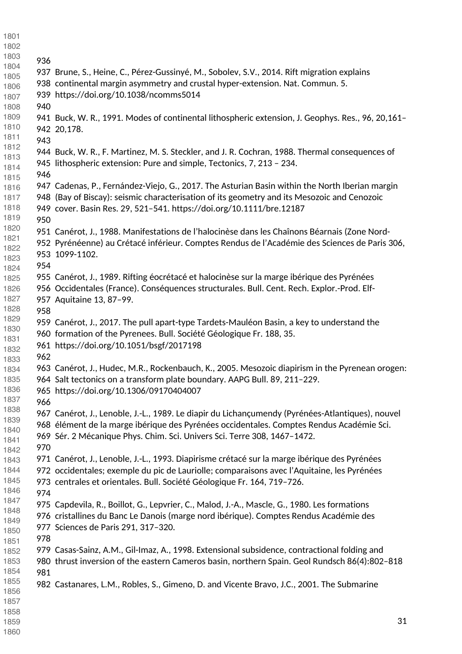| 1801         |     |                                                                                                   |  |
|--------------|-----|---------------------------------------------------------------------------------------------------|--|
| 1802         |     |                                                                                                   |  |
| 1803         |     |                                                                                                   |  |
| 1804         | 936 |                                                                                                   |  |
| 1805         |     | 937 Brune, S., Heine, C., Pérez-Gussinyé, M., Sobolev, S.V., 2014. Rift migration explains        |  |
| 1806         |     | 938 continental margin asymmetry and crustal hyper-extension. Nat. Commun. 5.                     |  |
| 1807         |     | 939 https://doi.org/10.1038/ncomms5014                                                            |  |
| 1808         | 940 |                                                                                                   |  |
| 1809         |     | 941 Buck, W. R., 1991. Modes of continental lithospheric extension, J. Geophys. Res., 96, 20,161- |  |
| 1810         |     | 942 20,178.                                                                                       |  |
| 1811         | 943 |                                                                                                   |  |
| 1812         |     | 944 Buck, W. R., F. Martinez, M. S. Steckler, and J. R. Cochran, 1988. Thermal consequences of    |  |
| 1813         |     | 945 lithospheric extension: Pure and simple, Tectonics, 7, 213 - 234.                             |  |
| 1814         | 946 |                                                                                                   |  |
| 1815         |     |                                                                                                   |  |
| 1816         |     | 947 Cadenas, P., Fernández-Viejo, G., 2017. The Asturian Basin within the North Iberian margin    |  |
| 1817         |     | 948 (Bay of Biscay): seismic characterisation of its geometry and its Mesozoic and Cenozoic       |  |
| 1818         |     | 949 cover. Basin Res. 29, 521-541. https://doi.org/10.1111/bre.12187                              |  |
| 1819         | 950 |                                                                                                   |  |
| 1820         |     | 951 Canérot, J., 1988. Manifestations de l'halocinèse dans les Chaînons Béarnais (Zone Nord-      |  |
| 1821         |     | 952 Pyrénéenne) au Crétacé inférieur. Comptes Rendus de l'Académie des Sciences de Paris 306,     |  |
| 1822         |     | 953 1099-1102.                                                                                    |  |
| 1823<br>1824 | 954 |                                                                                                   |  |
| 1825         |     | 955 Canérot, J., 1989. Rifting éocrétacé et halocinèse sur la marge ibérique des Pyrénées         |  |
| 1826         |     | 956 Occidentales (France). Conséquences structurales. Bull. Cent. Rech. Explor.-Prod. Elf-        |  |
| 1827         |     | 957 Aquitaine 13, 87-99.                                                                          |  |
| 1828         |     |                                                                                                   |  |
| 1829         | 958 |                                                                                                   |  |
| 1830         |     | 959 Canérot, J., 2017. The pull apart-type Tardets-Mauléon Basin, a key to understand the         |  |
| 1831         |     | 960 formation of the Pyrenees. Bull. Société Géologique Fr. 188, 35.                              |  |
| 1832         |     | 961 https://doi.org/10.1051/bsgf/2017198                                                          |  |
| 1833         | 962 |                                                                                                   |  |
| 1834         |     | 963 Canérot, J., Hudec, M.R., Rockenbauch, K., 2005. Mesozoic diapirism in the Pyrenean orogen:   |  |
| 1835         |     | 964 Salt tectonics on a transform plate boundary. AAPG Bull. 89, 211-229.                         |  |
| 1836         |     | 965 https://doi.org/10.1306/09170404007                                                           |  |
| 1837         | 966 |                                                                                                   |  |
| 1838         |     | 967 Canérot, J., Lenoble, J.-L., 1989. Le diapir du Lichançumendy (Pyrénées-Atlantiques), nouvel  |  |
| 1839         |     | 968 élément de la marge ibérique des Pyrénées occidentales. Comptes Rendus Académie Sci.          |  |
| 1840         |     | 969 Sér. 2 Mécanique Phys. Chim. Sci. Univers Sci. Terre 308, 1467-1472.                          |  |
| 1841<br>1842 | 970 |                                                                                                   |  |
| 1843         |     | 971 Canérot, J., Lenoble, J.-L., 1993. Diapirisme crétacé sur la marge ibérique des Pyrénées      |  |
| 1844         |     | 972 occidentales; exemple du pic de Lauriolle; comparaisons avec l'Aquitaine, les Pyrénées        |  |
| 1845         |     | 973 centrales et orientales. Bull. Société Géologique Fr. 164, 719-726.                           |  |
| 1846         |     |                                                                                                   |  |
| 1847         | 974 |                                                                                                   |  |
| 1848         |     | 975 Capdevila, R., Boillot, G., Lepvrier, C., Malod, J.-A., Mascle, G., 1980. Les formations      |  |
| 1849         |     | 976 cristallines du Banc Le Danois (marge nord ibérique). Comptes Rendus Académie des             |  |
| 1850         |     | 977 Sciences de Paris 291, 317-320.                                                               |  |
| 1851         | 978 |                                                                                                   |  |
| 1852         |     | 979 Casas-Sainz, A.M., Gil-Imaz, A., 1998. Extensional subsidence, contractional folding and      |  |
| 1853         |     | 980 thrust inversion of the eastern Cameros basin, northern Spain. Geol Rundsch 86(4):802-818     |  |
| 1854         | 981 |                                                                                                   |  |
| 1855         |     | 982 Castanares, L.M., Robles, S., Gimeno, D. and Vicente Bravo, J.C., 2001. The Submarine         |  |
| 1856         |     |                                                                                                   |  |
| 1857         |     |                                                                                                   |  |
| 1858         |     |                                                                                                   |  |
| 1859         |     | 31                                                                                                |  |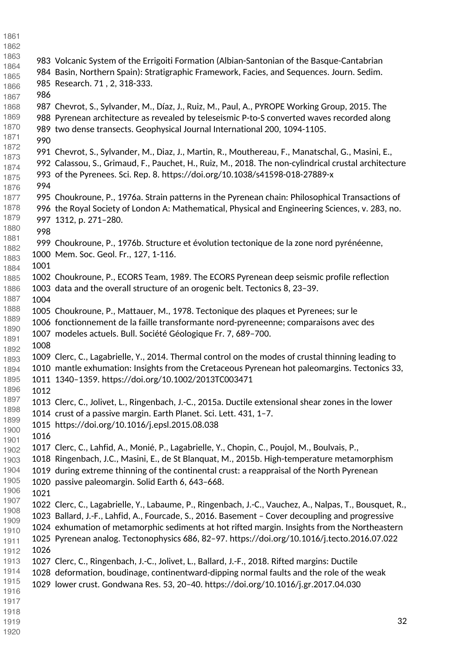- 983 Volcanic System of the Errigoiti Formation (Albian-Santonian of the Basque-Cantabrian 984 Basin, Northern Spain): Stratigraphic Framework, Facies, and Sequences. Journ. Sedim. 985 Research. 71 , 2, 318-333. 987 Chevrot, S., Sylvander, M., Díaz, J., Ruiz, M., Paul, A., PYROPE Working Group, 2015. The 988 Pyrenean architecture as revealed by teleseismic P-to-S converted waves recorded along 989 two dense transects. Geophysical Journal International 200, 1094-1105. 991 Chevrot, S., Sylvander, M., Diaz, J., Martin, R., Mouthereau, F., Manatschal, G., Masini, E., 992 Calassou, S., Grimaud, F., Pauchet, H., Ruiz, M., 2018. The non-cylindrical crustal architecture 993 of the Pyrenees. Sci. Rep. 8. https://doi.org/10.1038/s41598-018-27889-x 995 Choukroune, P., 1976a. Strain patterns in the Pyrenean chain: Philosophical Transactions of 996 the Royal Society of London A: Mathematical, Physical and Engineering Sciences, v. 283, no. 997 1312, p. 271–280. 999 Choukroune, P., 1976b. Structure et évolution tectonique de la zone nord pyrénéenne, 1000 Mem. Soc. Geol. Fr., 127, 1-116. 1002 Choukroune, P., ECORS Team, 1989. The ECORS Pyrenean deep seismic profile reflection 1003 data and the overall structure of an orogenic belt. Tectonics 8, 23–39. 1005 Choukroune, P., Mattauer, M., 1978. Tectonique des plaques et Pyrenees; sur le 1006 fonctionnement de la faille transformante nord-pyreneenne; comparaisons avec des 1007 modeles actuels. Bull. Société Géologique Fr. 7, 689–700. 1009 Clerc, C., Lagabrielle, Y., 2014. Thermal control on the modes of crustal thinning leading to 1010 mantle exhumation: Insights from the Cretaceous Pyrenean hot paleomargins. Tectonics 33, 1011 1340–1359. https://doi.org/10.1002/2013TC003471 1013 Clerc, C., Jolivet, L., Ringenbach, J.-C., 2015a. Ductile extensional shear zones in the lower 1014 crust of a passive margin. Earth Planet. Sci. Lett. 431, 1–7. 1015 https://doi.org/10.1016/j.epsl.2015.08.038 1017 Clerc, C., Lahfid, A., Monié, P., Lagabrielle, Y., Chopin, C., Poujol, M., Boulvais, P., 1018 Ringenbach, J.C., Masini, E., de St Blanquat, M., 2015b. High-temperature metamorphism 1019 during extreme thinning of the continental crust: a reappraisal of the North Pyrenean 1020 passive paleomargin. Solid Earth 6, 643–668. 1022 Clerc, C., Lagabrielle, Y., Labaume, P., Ringenbach, J.-C., Vauchez, A., Nalpas, T., Bousquet, R., 1023 Ballard, J.-F., Lahfid, A., Fourcade, S., 2016. Basement – Cover decoupling and progressive 1024 exhumation of metamorphic sediments at hot rifted margin. Insights from the Northeastern 1025 Pyrenean analog. Tectonophysics 686, 82–97. https://doi.org/10.1016/j.tecto.2016.07.022 1027 Clerc, C., Ringenbach, J.-C., Jolivet, L., Ballard, J.-F., 2018. Rifted margins: Ductile 1028 deformation, boudinage, continentward-dipping normal faults and the role of the weak 1029 lower crust. Gondwana Res. 53, 20–40. https://doi.org/10.1016/j.gr.2017.04.030
-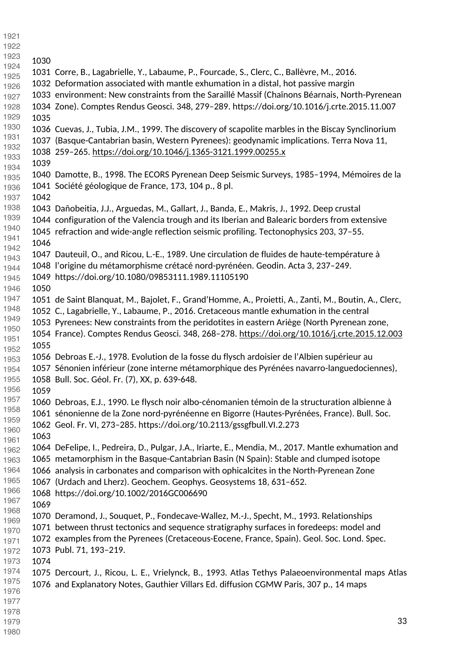| 1921         |      |                                                                                                       |
|--------------|------|-------------------------------------------------------------------------------------------------------|
| 1922         |      |                                                                                                       |
| 1923         | 1030 |                                                                                                       |
| 1924         |      | 1031 Corre, B., Lagabrielle, Y., Labaume, P., Fourcade, S., Clerc, C., Ballèvre, M., 2016.            |
| 1925         |      | 1032 Deformation associated with mantle exhumation in a distal, hot passive margin                    |
| 1926         |      |                                                                                                       |
| 1927         |      | 1033 environment: New constraints from the Saraillé Massif (Chaînons Béarnais, North-Pyrenean         |
| 1928         |      | 1034 Zone). Comptes Rendus Geosci. 348, 279-289. https://doi.org/10.1016/j.crte.2015.11.007           |
| 1929<br>1930 | 1035 |                                                                                                       |
| 1931         |      | 1036 Cuevas, J., Tubia, J.M., 1999. The discovery of scapolite marbles in the Biscay Synclinorium     |
| 1932         |      | 1037 (Basque-Cantabrian basin, Western Pyrenees): geodynamic implications. Terra Nova 11,             |
| 1933         |      | 1038 259-265. https://doi.org/10.1046/j.1365-3121.1999.00255.x                                        |
| 1934         | 1039 |                                                                                                       |
| 1935         |      | 1040 Damotte, B., 1998. The ECORS Pyrenean Deep Seismic Surveys, 1985-1994, Mémoires de la            |
| 1936         |      | 1041 Société géologique de France, 173, 104 p., 8 pl.                                                 |
| 1937         | 1042 |                                                                                                       |
| 1938         |      | 1043 Dañobeitia, J.J., Arguedas, M., Gallart, J., Banda, E., Makris, J., 1992. Deep crustal           |
| 1939         |      | 1044 configuration of the Valencia trough and its Iberian and Balearic borders from extensive         |
| 1940         |      | 1045 refraction and wide-angle reflection seismic profiling. Tectonophysics 203, 37-55.               |
| 1941         | 1046 |                                                                                                       |
| 1942         |      | 1047 Dauteuil, O., and Ricou, L.-E., 1989. Une circulation de fluides de haute-température à          |
| 1943         |      | 1048 l'origine du métamorphisme crétacé nord-pyrénéen. Geodin. Acta 3, 237-249.                       |
| 1944         |      | 1049 https://doi.org/10.1080/09853111.1989.11105190                                                   |
| 1945         |      |                                                                                                       |
| 1946<br>1947 | 1050 |                                                                                                       |
| 1948         |      | 1051 de Saint Blanquat, M., Bajolet, F., Grand'Homme, A., Proietti, A., Zanti, M., Boutin, A., Clerc, |
| 1949         |      | 1052 C., Lagabrielle, Y., Labaume, P., 2016. Cretaceous mantle exhumation in the central              |
| 1950         |      | 1053 Pyrenees: New constraints from the peridotites in eastern Ariège (North Pyrenean zone,           |
| 1951         |      | 1054 France). Comptes Rendus Geosci. 348, 268-278. https://doi.org/10.1016/j.crte.2015.12.003         |
| 1952         | 1055 |                                                                                                       |
| 1953         |      | 1056 Debroas E.-J., 1978. Evolution de la fosse du flysch ardoisier de l'Albien supérieur au          |
| 1954         |      | 1057 Sénonien inférieur (zone interne métamorphique des Pyrénées navarro-languedociennes),            |
| 1955         |      | 1058 Bull. Soc. Géol. Fr. (7), XX, p. 639-648.                                                        |
| 1956         | 1059 |                                                                                                       |
| 1957         |      | 1060 Debroas, E.J., 1990. Le flysch noir albo-cénomanien témoin de la structuration albienne à        |
| 1958         |      | 1061 sénonienne de la Zone nord-pyrénéenne en Bigorre (Hautes-Pyrénées, France). Bull. Soc.           |
| 1959         |      | 1062 Geol. Fr. VI, 273-285. https://doi.org/10.2113/gssgfbull.VI.2.273                                |
| 1960         | 1063 |                                                                                                       |
| 1961<br>1962 |      | 1064 DeFelipe, I., Pedreira, D., Pulgar, J.A., Iriarte, E., Mendia, M., 2017. Mantle exhumation and   |
| 1963         |      | 1065 metamorphism in the Basque-Cantabrian Basin (N Spain): Stable and clumped isotope                |
| 1964         |      | 1066 analysis in carbonates and comparison with ophicalcites in the North-Pyrenean Zone               |
| 1965         |      | 1067 (Urdach and Lherz). Geochem. Geophys. Geosystems 18, 631-652.                                    |
| 1966         |      | 1068 https://doi.org/10.1002/2016GC006690                                                             |
| 1967         | 1069 |                                                                                                       |
| 1968         |      |                                                                                                       |
| 1969         |      | 1070 Deramond, J., Souquet, P., Fondecave-Wallez, M.-J., Specht, M., 1993. Relationships              |
| 1970         |      | 1071 between thrust tectonics and sequence stratigraphy surfaces in foredeeps: model and              |
| 1971         |      | 1072 examples from the Pyrenees (Cretaceous-Eocene, France, Spain). Geol. Soc. Lond. Spec.            |
| 1972         |      | 1073 Publ. 71, 193-219.                                                                               |
| 1973         | 1074 |                                                                                                       |
| 1974         |      | 1075 Dercourt, J., Ricou, L. E., Vrielynck, B., 1993. Atlas Tethys Palaeoenvironmental maps Atlas     |
| 1975         |      | 1076 and Explanatory Notes, Gauthier Villars Ed. diffusion CGMW Paris, 307 p., 14 maps                |
| 1976<br>1977 |      |                                                                                                       |
| 1978         |      |                                                                                                       |
| 1979         |      | 33                                                                                                    |
|              |      |                                                                                                       |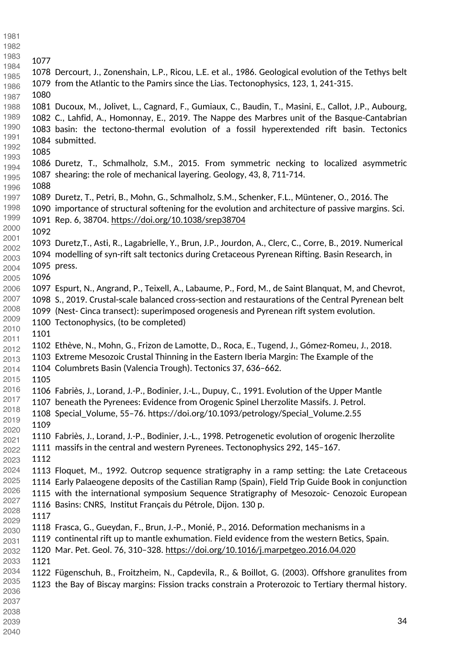1078 Dercourt, J., Zonenshain, L.P., Ricou, L.E. et al., 1986. Geological evolution of the Tethys belt 1079 from the Atlantic to the Pamirs since the Lias. Tectonophysics, 123, 1, 241-315. 1081 Ducoux, M., Jolivet, L., Cagnard, F., Gumiaux, C., Baudin, T., Masini, E., Callot, J.P., Aubourg, 1082 C., Lahfid, A., Homonnay, E., 2019. The Nappe des Marbres unit of the Basque-Cantabrian 1083 basin: the tectono-thermal evolution of a fossil hyperextended rift basin. Tectonics 1084 submitted. 1086 Duretz, T., Schmalholz, S.M., 2015. From symmetric necking to localized asymmetric 1087 shearing: the role of mechanical layering. Geology, 43, 8, 711-714. 1089 Duretz, T., Petri, B., Mohn, G., Schmalholz, S.M., Schenker, F.L., Müntener, O., 2016. The 1090 importance of structural softening for the evolution and architecture of passive margins. Sci. 1091 Rep. 6, 38704.<https://doi.org/10.1038/srep38704> 1093 Duretz,T., Asti, R., Lagabrielle, Y., Brun, J.P., Jourdon, A., Clerc, C., Corre, B., 2019. Numerical 1094 modelling of syn-rift salt tectonics during Cretaceous Pyrenean Rifting. Basin Research, in 1095 press. 1097 Espurt, N., Angrand, P., Teixell, A., Labaume, P., Ford, M., de Saint Blanquat, M, and Chevrot, 1098 S., 2019. Crustal-scale balanced cross-section and restaurations of the Central Pyrenean belt 1099 (Nest- Cinca transect): superimposed orogenesis and Pyrenean rift system evolution. 1100 Tectonophysics, (to be completed) 1102 Ethève, N., Mohn, G., Frizon de Lamotte, D., Roca, E., Tugend, J., Gómez-Romeu, J., 2018. 1103 Extreme Mesozoic Crustal Thinning in the Eastern Iberia Margin: The Example of the 1104 Columbrets Basin (Valencia Trough). Tectonics 37, 636–662. 1106 Fabriès, J., Lorand, J.-P., Bodinier, J.-L., Dupuy, C., 1991. Evolution of the Upper Mantle 1107 beneath the Pyrenees: Evidence from Orogenic Spinel Lherzolite Massifs. J. Petrol. 1108 Special\_Volume, 55–76. https://doi.org/10.1093/petrology/Special\_Volume.2.55 1110 Fabriès, J., Lorand, J.-P., Bodinier, J.-L., 1998. Petrogenetic evolution of orogenic lherzolite 1111 massifs in the central and western Pyrenees. Tectonophysics 292, 145–167. 1113 Floquet, M., 1992. Outcrop sequence stratigraphy in a ramp setting: the Late Cretaceous 1114 Early Palaeogene deposits of the Castilian Ramp (Spain), Field Trip Guide Book in conjunction 1115 with the international symposium Sequence Stratigraphy of Mesozoic- Cenozoic European 1116 Basins: CNRS, Institut Français du Pétrole, Dijon. 130 p. 1118 Frasca, G., Gueydan, F., Brun, J.-P., Monié, P., 2016. Deformation mechanisms in a 1119 continental rift up to mantle exhumation. Field evidence from the western Betics, Spain. 1120 Mar. Pet. Geol. 76, 310–328.<https://doi.org/10.1016/j.marpetgeo.2016.04.020> 1122 Fügenschuh, B., Froitzheim, N., Capdevila, R., & Boillot, G. (2003). Offshore granulites from 1123 the Bay of Biscay margins: Fission tracks constrain a Proterozoic to Tertiary thermal history.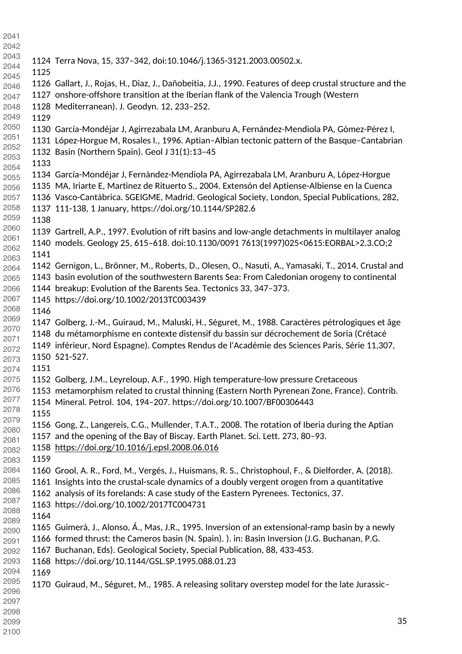1124 Terra Nova, 15, 337–342, doi:10.1046/j.1365-3121.2003.00502.x. 1126 Gallart, J., Rojas, H., Diaz, J., Dañobeitia, J.J., 1990. Features of deep crustal structure and the 1127 onshore-offshore transition at the Iberian flank of the Valencia Trough (Western 1128 Mediterranean). J. Geodyn. 12, 233–252. 1130 García-Mondéjar J, Agirrezabala LM, Aranburu A, Fernández-Mendiola PA, Gómez-Pérez I, 1131 López-Horgue M, Rosales I., 1996. Aptian–Albian tectonic pattern of the Basque–Cantabrian 1132 Basin (Northern Spain). Geol J 31(1):13–45 1134 García-Mondéjar J, Fernàndez-Mendiola PA, Agirrezabala LM, Aranburu A, López-Horgue 1135 MA, Iriarte E, Martinez de Rituerto S., 2004. Extensón del Aptiense-Albiense en la Cuenca 1136 Vasco-Cantábrica. SGEIGME, Madrid. Geological Society, London, Special Publications, 282, 1137 111-138, 1 January, <https://doi.org/10.1144/SP282.6> 1139 Gartrell, A.P., 1997. Evolution of rift basins and low-angle detachments in multilayer analog 1140 models. Geology 25, 615–618. doi:10.1130/0091 7613(1997)025<0615:EORBAL>2.3.CO;2 1142 Gernigon, L., Brönner, M., Roberts, D., Olesen, O., Nasuti, A., Yamasaki, T., 2014. Crustal and 1143 basin evolution of the southwestern Barents Sea: From Caledonian orogeny to continental 1144 breakup: Evolution of the Barents Sea. Tectonics 33, 347–373. 1145 https://doi.org/10.1002/2013TC003439 1147 Golberg, J.-M., Guiraud, M., Maluski, H., Séguret, M., 1988. Caractères pétrologiques et âge 1148 du métamorphisme en contexte distensif du bassin sur décrochement de Soria (Crétacé 1149 inférieur, Nord Espagne). Comptes Rendus de l'Académie des Sciences Paris, Série 11,307, 1150 521-527. 1152 Golberg, J.M., Leyreloup, A.F., 1990. High temperature-low pressure Cretaceous 1153 metamorphism related to crustal thinning (Eastern North Pyrenean Zone, France). Contrib. 1154 Mineral. Petrol. 104, 194–207. https://doi.org/10.1007/BF00306443 1156 Gong, Z., Langereis, C.G., Mullender, T.A.T., 2008. The rotation of Iberia during the Aptian 1157 and the opening of the Bay of Biscay. Earth Planet. Sci. Lett. 273, 80–93. <https://doi.org/10.1016/j.epsl.2008.06.016> 1160 Grool, A. R., Ford, M., Vergés, J., Huismans, R. S., Christophoul, F., & Dielforder, A. (2018). 1161 Insights into the crustal-scale dynamics of a doubly vergent orogen from a quantitative 1162 analysis of its forelands: A case study of the Eastern Pyrenees. Tectonics, 37. 1163 https://doi.org/10.1002/2017TC004731 1165 Guimerà, J., Alonso, Á., Mas, J.R., 1995. Inversion of an extensional-ramp basin by a newly 1166 formed thrust: the Cameros basin (N. Spain). ). in: Basin Inversion (J.G. Buchanan, P.G. 1167 Buchanan, Eds). Geological Society, Special Publication, 88, 433-453. 1168 https://doi.org/10.1144/GSL.SP.1995.088.01.23 1170 Guiraud, M., Séguret, M., 1985. A releasing solitary overstep model for the late Jurassic–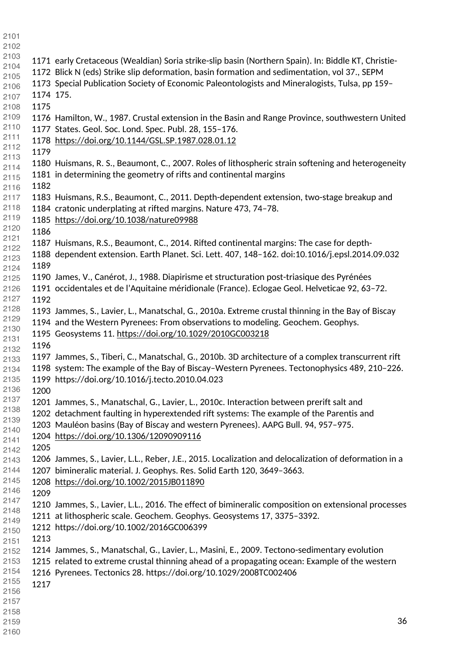- 1171 early Cretaceous (Wealdian) Soria strike-slip basin (Northern Spain). In: Biddle KT, Christie-1172 Blick N (eds) Strike slip deformation, basin formation and sedimentation, vol 37., SEPM 1173 Special Publication Society of Economic Paleontologists and Mineralogists, Tulsa, pp 159– 1174 175. 1176 Hamilton, W., 1987. Crustal extension in the Basin and Range Province, southwestern United 1177 States. Geol. Soc. Lond. Spec. Publ. 28, 155–176. <https://doi.org/10.1144/GSL.SP.1987.028.01.12> 1180 Huismans, R. S., Beaumont, C., 2007. Roles of lithospheric strain softening and heterogeneity 1181 in determining the geometry of rifts and continental margins 1183 Huismans, R.S., Beaumont, C., 2011. Depth-dependent extension, two-stage breakup and 1184 cratonic underplating at rifted margins. Nature 473, 74–78. <https://doi.org/10.1038/nature09988> 1187 Huismans, R.S., Beaumont, C., 2014. Rifted continental margins: The case for depth-1188 dependent extension. Earth Planet. Sci. Lett. 407, 148–162. doi:10.1016/j.epsl.2014.09.032 1190 James, V., Canérot, J., 1988. Diapirisme et structuration post-triasique des Pyrénées 1191 occidentales et de l'Aquitaine méridionale (France). Eclogae Geol. Helveticae 92, 63–72. 1193 Jammes, S., Lavier, L., Manatschal, G., 2010a. Extreme crustal thinning in the Bay of Biscay 1194 and the Western Pyrenees: From observations to modeling. Geochem. Geophys. 1195 Geosystems 11.<https://doi.org/10.1029/2010GC003218> 1197 Jammes, S., Tiberi, C., Manatschal, G., 2010b. 3D architecture of a complex transcurrent rift 1198 system: The example of the Bay of Biscay–Western Pyrenees. Tectonophysics 489, 210–226. 1199 https://doi.org/10.1016/j.tecto.2010.04.023 1201 Jammes, S., Manatschal, G., Lavier, L., 2010c. Interaction between prerift salt and 1202 detachment faulting in hyperextended rift systems: The example of the Parentis and 1203 Mauléon basins (Bay of Biscay and western Pyrenees). AAPG Bull. 94, 957–975. <https://doi.org/10.1306/12090909116> 1206 Jammes, S., Lavier, L.L., Reber, J.E., 2015. Localization and delocalization of deformation in a 1207 bimineralic material. J. Geophys. Res. Solid Earth 120, 3649–3663. <https://doi.org/10.1002/2015JB011890> 1210 Jammes, S., Lavier, L.L., 2016. The effect of bimineralic composition on extensional processes 1211 at lithospheric scale. Geochem. Geophys. Geosystems 17, 3375–3392. 1212 https://doi.org/10.1002/2016GC006399 1214 Jammes, S., Manatschal, G., Lavier, L., Masini, E., 2009. Tectono-sedimentary evolution 1215 related to extreme crustal thinning ahead of a propagating ocean: Example of the western 1216 Pyrenees. Tectonics 28. https://doi.org/10.1029/2008TC002406
-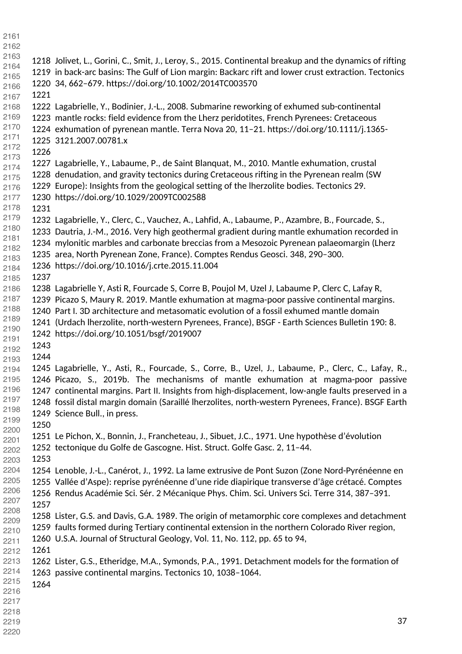1218 Jolivet, L., Gorini, C., Smit, J., Leroy, S., 2015. Continental breakup and the dynamics of rifting 1219 in back-arc basins: The Gulf of Lion margin: Backarc rift and lower crust extraction. Tectonics 1220 34, 662–679. https://doi.org/10.1002/2014TC003570 1222 Lagabrielle, Y., Bodinier, J.-L., 2008. Submarine reworking of exhumed sub-continental 1223 mantle rocks: field evidence from the Lherz peridotites, French Pyrenees: Cretaceous 1224 exhumation of pyrenean mantle. Terra Nova 20, 11–21. https://doi.org/10.1111/j.1365- 1225 3121.2007.00781.x 1227 Lagabrielle, Y., Labaume, P., de Saint Blanquat, M., 2010. Mantle exhumation, crustal 1228 denudation, and gravity tectonics during Cretaceous rifting in the Pyrenean realm (SW 1229 Europe): Insights from the geological setting of the lherzolite bodies. Tectonics 29. 1230 https://doi.org/10.1029/2009TC002588 1232 Lagabrielle, Y., Clerc, C., Vauchez, A., Lahfid, A., Labaume, P., Azambre, B., Fourcade, S., 1233 Dautria, J.-M., 2016. Very high geothermal gradient during mantle exhumation recorded in 1234 mylonitic marbles and carbonate breccias from a Mesozoic Pyrenean palaeomargin (Lherz 1235 area, North Pyrenean Zone, France). Comptes Rendus Geosci. 348, 290–300. 1236 https://doi.org/10.1016/j.crte.2015.11.004 1238 Lagabrielle Y, Asti R, Fourcade S, Corre B, Poujol M, Uzel J, Labaume P, Clerc C, Lafay R, 1239 Picazo S, Maury R. 2019. Mantle exhumation at magma-poor passive continental margins. 1240 Part I. 3D architecture and metasomatic evolution of a fossil exhumed mantle domain 1241 (Urdach lherzolite, north-western Pyrenees, France), BSGF - Earth Sciences Bulletin 190: 8. 1242 https://doi.org/10.1051/bsgf/2019007 1245 Lagabrielle, Y., Asti, R., Fourcade, S., Corre, B., Uzel, J., Labaume, P., Clerc, C., Lafay, R., 1246 Picazo, S., 2019b. The mechanisms of mantle exhumation at magma-poor passive 1247 continental margins. Part II. Insights from high-displacement, low-angle faults preserved in a 1248 fossil distal margin domain (Saraillé lherzolites, north-western Pyrenees, France). BSGF Earth 1249 Science Bull., in press. 1251 Le Pichon, X., Bonnin, J., Francheteau, J., Sibuet, J.C., 1971. Une hypothèse d'évolution 1252 tectonique du Golfe de Gascogne. Hist. Struct. Golfe Gasc. 2, 11–44. 1254 Lenoble, J.-L., Canérot, J., 1992. La lame extrusive de Pont Suzon (Zone Nord-Pyrénéenne en 1255 Vallée d'Aspe): reprise pyrénéenne d'une ride diapirique transverse d'âge crétacé. Comptes 1256 Rendus Académie Sci. Sér. 2 Mécanique Phys. Chim. Sci. Univers Sci. Terre 314, 387–391. 1258 Lister, G.S. and Davis, G.A. 1989. The origin of metamorphic core complexes and detachment 1259 faults formed during Tertiary continental extension in the northern Colorado River region, 1260 U.S.A. Journal of Structural Geology, Vol. 11, No. 112, pp. 65 to 94, 1262 Lister, G.S., Etheridge, M.A., Symonds, P.A., 1991. Detachment models for the formation of 1263 passive continental margins. Tectonics 10, 1038–1064.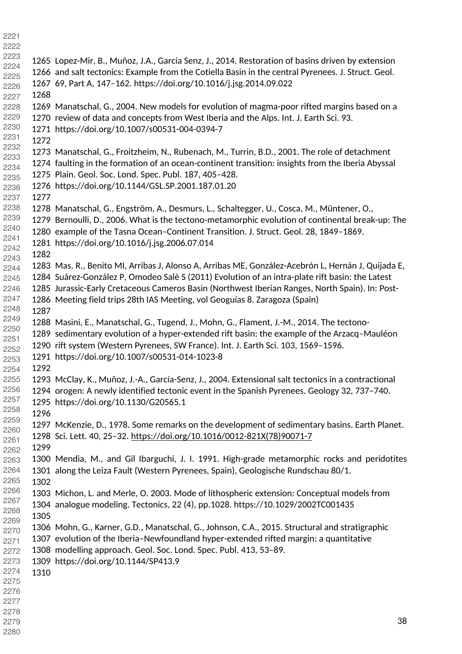| 2222         |      |                                                                                                     |    |
|--------------|------|-----------------------------------------------------------------------------------------------------|----|
| 2223         |      | 1265 Lopez-Mir, B., Muñoz, J.A., García Senz, J., 2014. Restoration of basins driven by extension   |    |
| 2224         |      | 1266 and salt tectonics: Example from the Cotiella Basin in the central Pyrenees. J. Struct. Geol.  |    |
| 2225<br>2226 |      | 1267 69, Part A, 147-162. https://doi.org/10.1016/j.jsg.2014.09.022                                 |    |
| 2227         | 1268 |                                                                                                     |    |
| 2228         |      | 1269 Manatschal, G., 2004. New models for evolution of magma-poor rifted margins based on a         |    |
| 2229         |      | 1270 review of data and concepts from West Iberia and the Alps. Int. J. Earth Sci. 93.              |    |
| 2230         |      | 1271 https://doi.org/10.1007/s00531-004-0394-7                                                      |    |
| 2231         | 1272 |                                                                                                     |    |
| 2232         |      | 1273 Manatschal, G., Froitzheim, N., Rubenach, M., Turrin, B.D., 2001. The role of detachment       |    |
| 2233         |      | 1274 faulting in the formation of an ocean-continent transition: insights from the Iberia Abyssal   |    |
| 2234         |      | 1275 Plain. Geol. Soc. Lond. Spec. Publ. 187, 405-428.                                              |    |
| 2235         |      | 1276 https://doi.org/10.1144/GSL.SP.2001.187.01.20                                                  |    |
| 2236<br>2237 | 1277 |                                                                                                     |    |
| 2238         |      |                                                                                                     |    |
| 2239         |      | 1278 Manatschal, G., Engström, A., Desmurs, L., Schaltegger, U., Cosca, M., Müntener, O.,           |    |
| 2240         |      | 1279 Bernoulli, D., 2006. What is the tectono-metamorphic evolution of continental break-up: The    |    |
| 2241         |      | 1280 example of the Tasna Ocean-Continent Transition. J. Struct. Geol. 28, 1849-1869.               |    |
| 2242         |      | 1281 https://doi.org/10.1016/j.jsg.2006.07.014                                                      |    |
| 2243         | 1282 |                                                                                                     |    |
| 2244         |      | 1283 Mas. R., Benito MI, Arribas J, Alonso A, Arribas ME, González-Acebrón L, Hernán J, Quijada E,  |    |
| 2245         |      | 1284 Suárez-González P, Omodeo Salè S (2011) Evolution of an intra-plate rift basin: the Latest     |    |
| 2246         |      | 1285 Jurassic-Early Cretaceous Cameros Basin (Northwest Iberian Ranges, North Spain). In: Post-     |    |
| 2247         |      | 1286 Meeting field trips 28th IAS Meeting, vol Geoguías 8. Zaragoza (Spain)                         |    |
| 2248<br>2249 | 1287 |                                                                                                     |    |
| 2250         |      | 1288 Masini, E., Manatschal, G., Tugend, J., Mohn, G., Flament, J.-M., 2014. The tectono-           |    |
| 2251         |      | 1289 sedimentary evolution of a hyper-extended rift basin: the example of the Arzacq-Mauléon        |    |
| 2252         |      | 1290 rift system (Western Pyrenees, SW France). Int. J. Earth Sci. 103, 1569-1596.                  |    |
| 2253         |      | 1291 https://doi.org/10.1007/s00531-014-1023-8                                                      |    |
| 2254         | 1292 |                                                                                                     |    |
| 2255         |      | 1293 McClay, K., Muñoz, J.-A., García-Senz, J., 2004. Extensional salt tectonics in a contractional |    |
| 2256         |      | 1294 orogen: A newly identified tectonic event in the Spanish Pyrenees. Geology 32, 737-740.        |    |
| 2257         |      | 1295 https://doi.org/10.1130/G20565.1                                                               |    |
| 2258<br>2259 | 1296 |                                                                                                     |    |
| 2260         |      | 1297 McKenzie, D., 1978. Some remarks on the development of sedimentary basins. Earth Planet.       |    |
| 2261         |      | 1298 Sci. Lett. 40, 25-32. https://doi.org/10.1016/0012-821X(78)90071-7                             |    |
| 2262         | 1299 |                                                                                                     |    |
| 2263         |      | 1300 Mendia, M., and Gil Ibarguchi, J. I. 1991. High-grade metamorphic rocks and peridotites        |    |
| 2264         |      | 1301 along the Leiza Fault (Western Pyrenees, Spain), Geologische Rundschau 80/1.                   |    |
| 2265         | 1302 |                                                                                                     |    |
| 2266         |      | 1303 Michon, L. and Merle, O. 2003. Mode of lithospheric extension: Conceptual models from          |    |
| 2267         |      | 1304 analogue modeling. Tectonics, 22 (4), pp.1028. https://10.1029/2002TC001435                    |    |
| 2268         | 1305 |                                                                                                     |    |
| 2269<br>2270 |      | 1306 Mohn, G., Karner, G.D., Manatschal, G., Johnson, C.A., 2015. Structural and stratigraphic      |    |
| 2271         |      | 1307 evolution of the Iberia-Newfoundland hyper-extended rifted margin: a quantitative              |    |
| 2272         |      | 1308 modelling approach. Geol. Soc. Lond. Spec. Publ. 413, 53-89.                                   |    |
| 2273         |      | 1309 https://doi.org/10.1144/SP413.9                                                                |    |
| 2274         | 1310 |                                                                                                     |    |
| 2275         |      |                                                                                                     |    |
| 2276         |      |                                                                                                     |    |
| 2277         |      |                                                                                                     |    |
| 2278         |      |                                                                                                     | 38 |
| 2279         |      |                                                                                                     |    |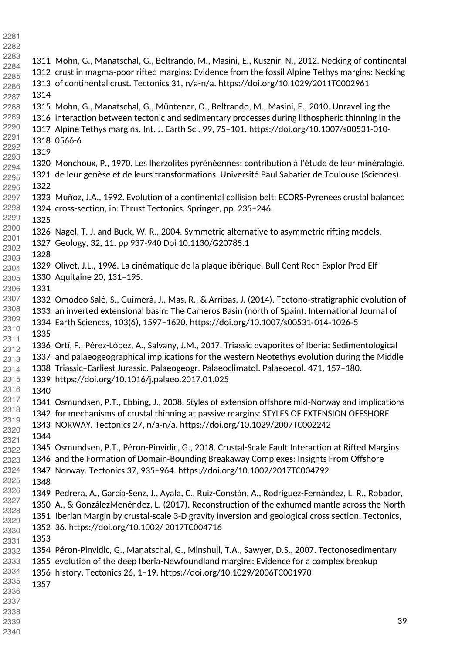1311 Mohn, G., Manatschal, G., Beltrando, M., Masini, E., Kusznir, N., 2012. Necking of continental 1312 crust in magma-poor rifted margins: Evidence from the fossil Alpine Tethys margins: Necking 1313 of continental crust. Tectonics 31, n/a-n/a. https://doi.org/10.1029/2011TC002961 1315 Mohn, G., Manatschal, G., Müntener, O., Beltrando, M., Masini, E., 2010. Unravelling the 1316 interaction between tectonic and sedimentary processes during lithospheric thinning in the 1317 Alpine Tethys margins. Int. J. Earth Sci. 99, 75–101. https://doi.org/10.1007/s00531-010- 1318 0566-6 1320 Monchoux, P., 1970. Les lherzolites pyrénéennes: contribution à l'étude de leur minéralogie, 1321 de leur genèse et de leurs transformations. Université Paul Sabatier de Toulouse (Sciences). 1323 Muñoz, J.A., 1992. Evolution of a continental collision belt: ECORS-Pyrenees crustal balanced 1324 cross-section, in: Thrust Tectonics. Springer, pp. 235–246. 1326 Nagel, T. J. and Buck, W. R., 2004. Symmetric alternative to asymmetric rifting models. 1327 Geology, 32, 11. pp 937-940 Doi 10.1130/G20785.1 1329 Olivet, J.L., 1996. La cinématique de la plaque ibérique. Bull Cent Rech Explor Prod Elf 1330 Aquitaine 20, 131–195. 1332 Omodeo Salè, S., Guimerà, J., Mas, R., & Arribas, J. (2014). Tectono‐stratigraphic evolution of 1333 an inverted extensional basin: The Cameros Basin (north of Spain). International Journal of 1334 Earth Sciences, 103(6), 1597–1620. [https://doi.org/10.1007/s00531](https://doi.org/10.1007/s00531%E2%80%90014%E2%80%901026%E2%80%905)‐014‐1026‐5 1336 Ortí, F., Pérez-López, A., Salvany, J.M., 2017. Triassic evaporites of Iberia: Sedimentological 1337 and palaeogeographical implications for the western Neotethys evolution during the Middle 1338 Triassic–Earliest Jurassic. Palaeogeogr. Palaeoclimatol. Palaeoecol. 471, 157–180. 1339 https://doi.org/10.1016/j.palaeo.2017.01.025 1341 Osmundsen, P.T., Ebbing, J., 2008. Styles of extension offshore mid-Norway and implications 1342 for mechanisms of crustal thinning at passive margins: STYLES OF EXTENSION OFFSHORE 1343 NORWAY. Tectonics 27, n/a-n/a. https://doi.org/10.1029/2007TC002242 1345 Osmundsen, P.T., Péron-Pinvidic, G., 2018. Crustal-Scale Fault Interaction at Rifted Margins 1346 and the Formation of Domain-Bounding Breakaway Complexes: Insights From Offshore 1347 Norway. Tectonics 37, 935–964. https://doi.org/10.1002/2017TC004792 1349 Pedrera, A., García-Senz, J., Ayala, C., Ruiz-Constán, A., Rodríguez-Fernández, L. R., Robador, 1350 A., & GonzálezMenéndez, L. (2017). Reconstruction of the exhumed mantle across the North 1351 Iberian Margin by crustal-scale 3-D gravity inversion and geological cross section. Tectonics, 1352 36. <https://doi.org/10.1002/>2017TC004716 1354 Péron-Pinvidic, G., Manatschal, G., Minshull, T.A., Sawyer, D.S., 2007. Tectonosedimentary 1355 evolution of the deep Iberia-Newfoundland margins: Evidence for a complex breakup 1356 history. Tectonics 26, 1–19. https://doi.org/10.1029/2006TC001970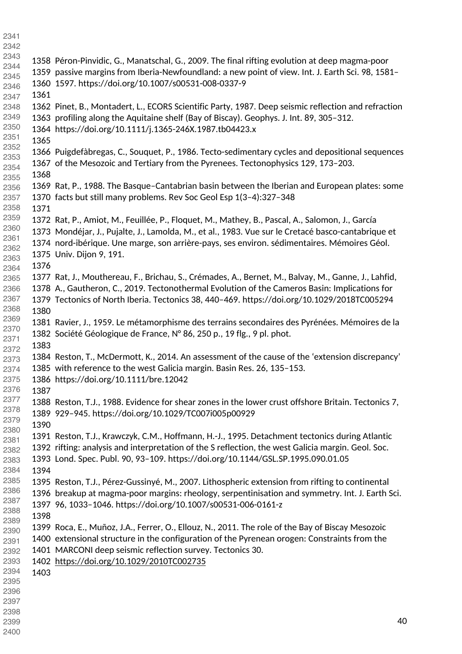| 2341         |      |                                                                                                     |    |
|--------------|------|-----------------------------------------------------------------------------------------------------|----|
| 2342         |      |                                                                                                     |    |
| 2343         |      | 1358 Péron-Pinvidic, G., Manatschal, G., 2009. The final rifting evolution at deep magma-poor       |    |
| 2344         |      |                                                                                                     |    |
| 2345         |      | 1359 passive margins from Iberia-Newfoundland: a new point of view. Int. J. Earth Sci. 98, 1581-    |    |
| 2346         |      | 1360 1597. https://doi.org/10.1007/s00531-008-0337-9                                                |    |
| 2347         | 1361 |                                                                                                     |    |
| 2348         |      | 1362 Pinet, B., Montadert, L., ECORS Scientific Party, 1987. Deep seismic reflection and refraction |    |
| 2349         |      | 1363 profiling along the Aquitaine shelf (Bay of Biscay). Geophys. J. Int. 89, 305-312.             |    |
| 2350         |      | 1364 https://doi.org/10.1111/j.1365-246X.1987.tb04423.x                                             |    |
| 2351         | 1365 |                                                                                                     |    |
| 2352         |      |                                                                                                     |    |
| 2353         |      | 1366 Puigdefàbregas, C., Souquet, P., 1986. Tecto-sedimentary cycles and depositional sequences     |    |
| 2354         |      | 1367 of the Mesozoic and Tertiary from the Pyrenees. Tectonophysics 129, 173-203.                   |    |
| 2355         | 1368 |                                                                                                     |    |
| 2356         |      | 1369 Rat, P., 1988. The Basque-Cantabrian basin between the Iberian and European plates: some       |    |
| 2357         |      | 1370 facts but still many problems. Rev Soc Geol Esp 1(3-4):327-348                                 |    |
| 2358         | 1371 |                                                                                                     |    |
| 2359         |      | 1372 Rat, P., Amiot, M., Feuillée, P., Floquet, M., Mathey, B., Pascal, A., Salomon, J., García     |    |
| 2360         |      | 1373 Mondéjar, J., Pujalte, J., Lamolda, M., et al., 1983. Vue sur le Cretacé basco-cantabrique et  |    |
| 2361         |      | 1374 nord-ibérique. Une marge, son arrière-pays, ses environ. sédimentaires. Mémoires Géol.         |    |
| 2362         |      |                                                                                                     |    |
| 2363         |      | 1375 Univ. Dijon 9, 191.                                                                            |    |
| 2364         | 1376 |                                                                                                     |    |
| 2365         |      | 1377 Rat, J., Mouthereau, F., Brichau, S., Crémades, A., Bernet, M., Balvay, M., Ganne, J., Lahfid, |    |
| 2366         |      | 1378 A., Gautheron, C., 2019. Tectonothermal Evolution of the Cameros Basin: Implications for       |    |
| 2367         |      | 1379 Tectonics of North Iberia. Tectonics 38, 440-469. https://doi.org/10.1029/2018TC005294         |    |
| 2368         | 1380 |                                                                                                     |    |
| 2369         |      | 1381 Ravier, J., 1959. Le métamorphisme des terrains secondaires des Pyrénées. Mémoires de la       |    |
| 2370         |      | 1382 Société Géologique de France, N° 86, 250 p., 19 flg., 9 pl. phot.                              |    |
| 2371         |      |                                                                                                     |    |
| 2372         | 1383 |                                                                                                     |    |
| 2373         |      | 1384 Reston, T., McDermott, K., 2014. An assessment of the cause of the 'extension discrepancy'     |    |
| 2374         |      | 1385 with reference to the west Galicia margin. Basin Res. 26, 135-153.                             |    |
| 2375         |      | 1386 https://doi.org/10.1111/bre.12042                                                              |    |
| 2376         | 1387 |                                                                                                     |    |
| 2377         |      | 1388 Reston, T.J., 1988. Evidence for shear zones in the lower crust offshore Britain. Tectonics 7, |    |
| 2378         |      | 1389 929-945. https://doi.org/10.1029/TC007i005p00929                                               |    |
| 2379         | 1390 |                                                                                                     |    |
| 2380         |      | 1391 Reston, T.J., Krawczyk, C.M., Hoffmann, H.-J., 1995. Detachment tectonics during Atlantic      |    |
| 2381         |      | 1392 rifting: analysis and interpretation of the S reflection, the west Galicia margin. Geol. Soc.  |    |
| 2382         |      |                                                                                                     |    |
| 2383         |      | 1393 Lond. Spec. Publ. 90, 93-109. https://doi.org/10.1144/GSL.SP.1995.090.01.05                    |    |
| 2384         | 1394 |                                                                                                     |    |
| 2385         |      | 1395 Reston, T.J., Pérez-Gussinyé, M., 2007. Lithospheric extension from rifting to continental     |    |
| 2386         |      | 1396 breakup at magma-poor margins: rheology, serpentinisation and symmetry. Int. J. Earth Sci.     |    |
| 2387         |      | 1397 96, 1033-1046. https://doi.org/10.1007/s00531-006-0161-z                                       |    |
| 2388         | 1398 |                                                                                                     |    |
| 2389         |      | 1399 Roca, E., Muñoz, J.A., Ferrer, O., Ellouz, N., 2011. The role of the Bay of Biscay Mesozoic    |    |
| 2390<br>2391 |      | 1400 extensional structure in the configuration of the Pyrenean orogen: Constraints from the        |    |
| 2392         |      | 1401 MARCONI deep seismic reflection survey. Tectonics 30.                                          |    |
| 2393         |      |                                                                                                     |    |
| 2394         |      | 1402 https://doi.org/10.1029/2010TC002735                                                           |    |
| 2395         | 1403 |                                                                                                     |    |
| 2396         |      |                                                                                                     |    |
| 2397         |      |                                                                                                     |    |
| 2398         |      |                                                                                                     |    |
| 2399         |      |                                                                                                     | 40 |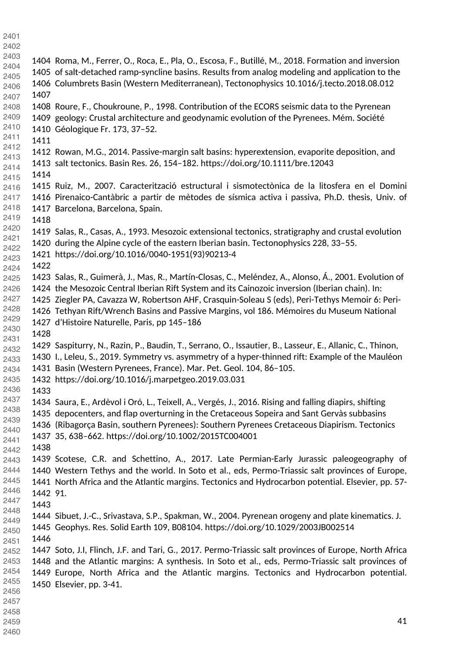1404 Roma, M., Ferrer, O., Roca, E., Pla, O., Escosa, F., Butillé, M., 2018. Formation and inversion 1405 of salt-detached ramp-syncline basins. Results from analog modeling and application to the 1406 Columbrets Basin (Western Mediterranean), Tectonophysics 10.1016/j.tecto.2018.08.012 1408 Roure, F., Choukroune, P., 1998. Contribution of the ECORS seismic data to the Pyrenean 1409 geology: Crustal architecture and geodynamic evolution of the Pyrenees. Mém. Société 1410 Géologique Fr. 173, 37–52. 1412 Rowan, M.G., 2014. Passive-margin salt basins: hyperextension, evaporite deposition, and 1413 salt tectonics. Basin Res. 26, 154–182. https://doi.org/10.1111/bre.12043 1415 Ruiz, M., 2007. Caracterització estructural i sismotectònica de la litosfera en el Domini 1416 Pirenaico-Cantàbric a partir de mètodes de sísmica activa i passiva, Ph.D. thesis, Univ. of 1417 Barcelona, Barcelona, Spain. 1419 Salas, R., Casas, A., 1993. Mesozoic extensional tectonics, stratigraphy and crustal evolution 1420 during the Alpine cycle of the eastern Iberian basin. Tectonophysics 228, 33–55. 1421 https://doi.org/10.1016/0040-1951(93)90213-4 1423 Salas, R., Guimerà, J., Mas, R., Martín-Closas, C., Meléndez, A., Alonso, Á., 2001. Evolution of 1424 the Mesozoic Central Iberian Rift System and its Cainozoic inversion (Iberian chain). In: 1425 Ziegler PA, Cavazza W, Robertson AHF, Crasquin-Soleau S (eds), Peri-Tethys Memoir 6: Peri-1426 Tethyan Rift/Wrench Basins and Passive Margins, vol 186. Mémoires du Museum National 1427 d'Histoire Naturelle, Paris, pp 145–186 1429 Saspiturry, N., Razin, P., Baudin, T., Serrano, O., Issautier, B., Lasseur, E., Allanic, C., Thinon, 1430 I., Leleu, S., 2019. Symmetry vs. asymmetry of a hyper-thinned rift: Example of the Mauléon 1431 Basin (Western Pyrenees, France). Mar. Pet. Geol. 104, 86–105. 1432 https://doi.org/10.1016/j.marpetgeo.2019.03.031 1434 Saura, E., Ardèvol i Oró, L., Teixell, A., Vergés, J., 2016. Rising and falling diapirs, shifting 1435 depocenters, and flap overturning in the Cretaceous Sopeira and Sant Gervàs subbasins 1436 (Ribagorça Basin, southern Pyrenees): Southern Pyrenees Cretaceous Diapirism. Tectonics 1437 35, 638–662. https://doi.org/10.1002/2015TC004001 1439 Scotese, C.R. and Schettino, A., 2017. Late Permian-Early Jurassic paleogeography of 1440 Western Tethys and the world. In Soto et al., eds, Permo-Triassic salt provinces of Europe, 1441 North Africa and the Atlantic margins. Tectonics and Hydrocarbon potential. Elsevier, pp. 57- 1442 91. 1444 Sibuet, J.-C., Srivastava, S.P., Spakman, W., 2004. Pyrenean orogeny and plate kinematics. J. 1445 Geophys. Res. Solid Earth 109, B08104. <https://doi.org/10.1029/2003JB002514> 1447 Soto, J.I, Flinch, J.F. and Tari, G., 2017. Permo-Triassic salt provinces of Europe, North Africa 1448 and the Atlantic margins: A synthesis. In Soto et al., eds, Permo-Triassic salt provinces of 1449 Europe, North Africa and the Atlantic margins. Tectonics and Hydrocarbon potential. 1450 Elsevier, pp. 3-41.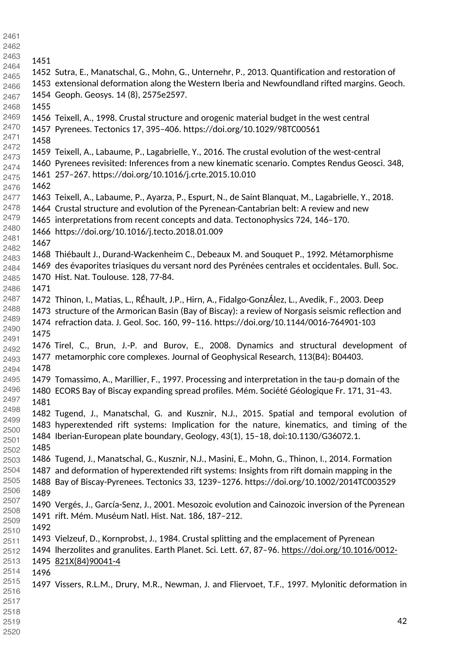- 1452 Sutra, E., Manatschal, G., Mohn, G., Unternehr, P., 2013. Quantification and restoration of 1453 extensional deformation along the Western Iberia and Newfoundland rifted margins. Geoch. 1454 Geoph. Geosys. 14 (8), 2575e2597. 1456 Teixell, A., 1998. Crustal structure and orogenic material budget in the west central 1457 Pyrenees. Tectonics 17, 395–406. https://doi.org/10.1029/98TC00561 1459 Teixell, A., Labaume, P., Lagabrielle, Y., 2016. The crustal evolution of the west-central 1460 Pyrenees revisited: Inferences from a new kinematic scenario. Comptes Rendus Geosci. 348, 1461 257–267. https://doi.org/10.1016/j.crte.2015.10.010 1463 Teixell, A., Labaume, P., Ayarza, P., Espurt, N., de Saint Blanquat, M., Lagabrielle, Y., 2018. 1464 Crustal structure and evolution of the Pyrenean-Cantabrian belt: A review and new 1465 interpretations from recent concepts and data. Tectonophysics 724, 146–170. 1466 https://doi.org/10.1016/j.tecto.2018.01.009 1468 Thiébault J., Durand-Wackenheim C., Debeaux M. and Souquet P., 1992. Métamorphisme 1469 des évaporites triasiques du versant nord des Pyrénées centrales et occidentales. Bull. Soc. 1470 Hist. Nat. Toulouse. 128, 77-84. 1472 Thinon, I., Matias, L., RÉhault, J.P., Hirn, A., Fidalgo-GonzÁlez, L., Avedik, F., 2003. Deep 1473 structure of the Armorican Basin (Bay of Biscay): a review of Norgasis seismic reflection and 1474 refraction data. J. Geol. Soc. 160, 99–116. https://doi.org/10.1144/0016-764901-103 1476 Tirel, C., Brun, J.-P. and Burov, E., 2008. Dynamics and structural development of 1477 metamorphic core complexes. Journal of Geophysical Research, 113(B4): B04403. 1479 Tomassimo, A., Marillier, F., 1997. Processing and interpretation in the tau-p domain of the 1480 ECORS Bay of Biscay expanding spread profiles. Mém. Société Géologique Fr. 171, 31–43. 1482 Tugend, J., Manatschal, G. and Kusznir, N.J., 2015. Spatial and temporal evolution of 1483 hyperextended rift systems: Implication for the nature, kinematics, and timing of the 1484 Iberian-European plate boundary, Geology, 43(1), 15–18, doi:10.1130/G36072.1. 1486 Tugend, J., Manatschal, G., Kusznir, N.J., Masini, E., Mohn, G., Thinon, I., 2014. Formation 1487 and deformation of hyperextended rift systems: Insights from rift domain mapping in the 1488 Bay of Biscay-Pyrenees. Tectonics 33, 1239–1276. https://doi.org/10.1002/2014TC003529 1490 Vergés, J., García-Senz, J., 2001. Mesozoic evolution and Cainozoic inversion of the Pyrenean 1491 rift. Mém. Muséum Natl. Hist. Nat. 186, 187–212. 1493 Vielzeuf, D., Kornprobst, J., 1984. Crustal splitting and the emplacement of Pyrenean 1494 lherzolites and granulites. Earth Planet. Sci. Lett. 67, 87–96. [https://doi.org/10.1016/0012-](https://doi.org/10.1016/0012-821X(84)90041-4) [821X\(84\)90041-4](https://doi.org/10.1016/0012-821X(84)90041-4) 1497 Vissers, R.L.M., Drury, M.R., Newman, J. and Fliervoet, T.F., 1997. Mylonitic deformation in
-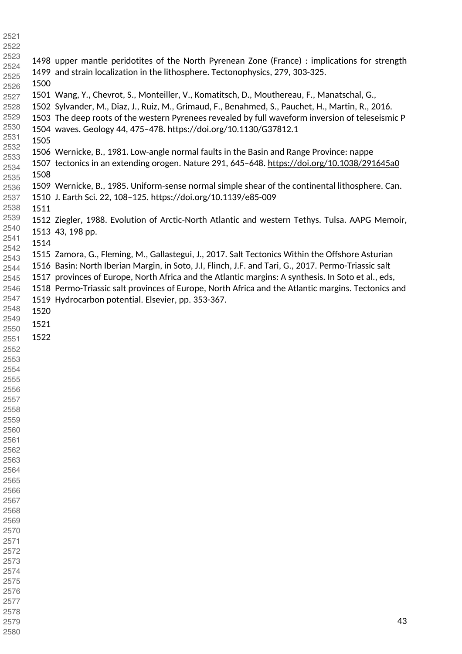| 2521         |      |                                                                                                      |
|--------------|------|------------------------------------------------------------------------------------------------------|
| 2522         |      |                                                                                                      |
| 2523         |      | 1498 upper mantle peridotites of the North Pyrenean Zone (France) : implications for strength        |
| 2524         |      | 1499 and strain localization in the lithosphere. Tectonophysics, 279, 303-325.                       |
| 2525         | 1500 |                                                                                                      |
| 2526         |      |                                                                                                      |
| 2527         |      | 1501 Wang, Y., Chevrot, S., Monteiller, V., Komatitsch, D., Mouthereau, F., Manatschal, G.,          |
| 2528         |      | 1502 Sylvander, M., Diaz, J., Ruiz, M., Grimaud, F., Benahmed, S., Pauchet, H., Martin, R., 2016.    |
| 2529         |      | 1503 The deep roots of the western Pyrenees revealed by full waveform inversion of teleseismic P     |
| 2530         |      | 1504 waves. Geology 44, 475-478. https://doi.org/10.1130/G37812.1                                    |
| 2531         | 1505 |                                                                                                      |
| 2532         |      | 1506 Wernicke, B., 1981. Low-angle normal faults in the Basin and Range Province: nappe              |
| 2533<br>2534 |      | 1507 tectonics in an extending orogen. Nature 291, 645-648. https://doi.org/10.1038/291645a0         |
| 2535         | 1508 |                                                                                                      |
| 2536         |      | 1509 Wernicke, B., 1985. Uniform-sense normal simple shear of the continental lithosphere. Can.      |
| 2537         |      | 1510 J. Earth Sci. 22, 108-125. https://doi.org/10.1139/e85-009                                      |
| 2538         | 1511 |                                                                                                      |
| 2539         |      |                                                                                                      |
| 2540         |      | 1512 Ziegler, 1988. Evolution of Arctic-North Atlantic and western Tethys. Tulsa. AAPG Memoir,       |
| 2541         |      | 1513 43, 198 pp.                                                                                     |
| 2542         | 1514 |                                                                                                      |
| 2543         |      | 1515 Zamora, G., Fleming, M., Gallastegui, J., 2017. Salt Tectonics Within the Offshore Asturian     |
| 2544         |      | 1516 Basin: North Iberian Margin, in Soto, J.I, Flinch, J.F. and Tari, G., 2017. Permo-Triassic salt |
| 2545         |      | 1517 provinces of Europe, North Africa and the Atlantic margins: A synthesis. In Soto et al., eds,   |
| 2546         |      | 1518 Permo-Triassic salt provinces of Europe, North Africa and the Atlantic margins. Tectonics and   |
| 2547         |      | 1519 Hydrocarbon potential. Elsevier, pp. 353-367.                                                   |
| 2548         | 1520 |                                                                                                      |
| 2549         | 1521 |                                                                                                      |
| 2550         |      |                                                                                                      |
| 2551         | 1522 |                                                                                                      |
| 2552         |      |                                                                                                      |
| 2553         |      |                                                                                                      |
| 2554         |      |                                                                                                      |
| 2555         |      |                                                                                                      |
| 2556         |      |                                                                                                      |
| 2557         |      |                                                                                                      |
| 2558         |      |                                                                                                      |
| 2559         |      |                                                                                                      |
| 2560         |      |                                                                                                      |
| 2561<br>2562 |      |                                                                                                      |
| 2563         |      |                                                                                                      |
| 2564         |      |                                                                                                      |
| 2565         |      |                                                                                                      |
| 2566         |      |                                                                                                      |
| 2567         |      |                                                                                                      |
| 2568         |      |                                                                                                      |
| 2569         |      |                                                                                                      |
| 2570         |      |                                                                                                      |
| 2571         |      |                                                                                                      |
| 2572         |      |                                                                                                      |
| 2573         |      |                                                                                                      |
| 2574         |      |                                                                                                      |
| 2575         |      |                                                                                                      |
| 2576         |      |                                                                                                      |
| 2577         |      |                                                                                                      |
| 2578         |      |                                                                                                      |
| 2579         |      | 43                                                                                                   |
| 2580         |      |                                                                                                      |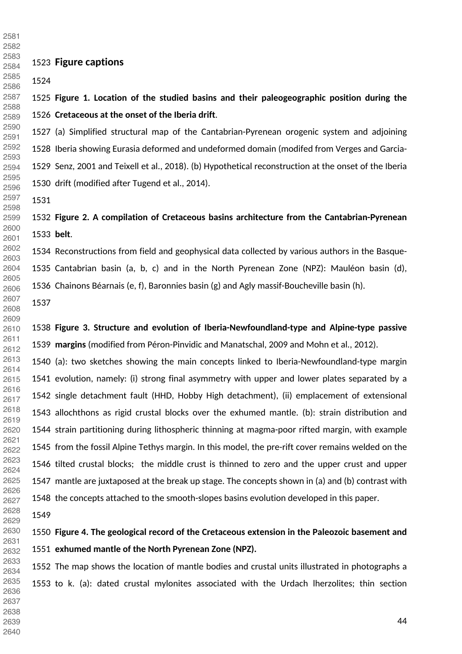**Figure captions Figure 1. Location of the studied basins and their paleogeographic position during the Cretaceous at the onset of the Iberia drift**. 1527 (a) Simplified structural map of the Cantabrian-Pyrenean orogenic system and adjoining 1528 Iberia showing Eurasia deformed and undeformed domain (modifed from Verges and Garcia-1529 Senz, 2001 and Teixell et al., 2018). (b) Hypothetical reconstruction at the onset of the Iberia 1530 drift (modified after Tugend et al., 2014). **Figure 2. A compilation of Cretaceous basins architecture from the Cantabrian-Pyrenean belt**. 1534 Reconstructions from field and geophysical data collected by various authors in the Basque-1535 Cantabrian basin (a, b, c) and in the North Pyrenean Zone (NPZ): Mauléon basin (d), 1536 Chainons Béarnais (e, f), Baronnies basin (g) and Agly massif-Boucheville basin (h). **Figure 3. Structure and evolution of Iberia-Newfoundland-type and Alpine-type passive margins** (modified from Péron-Pinvidic and Manatschal, 2009 and Mohn et al., 2012). 1540 (a): two sketches showing the main concepts linked to Iberia-Newfoundland-type margin 1541 evolution, namely: (i) strong final asymmetry with upper and lower plates separated by a 1542 single detachment fault (HHD, Hobby High detachment), (ii) emplacement of extensional 1543 allochthons as rigid crustal blocks over the exhumed mantle. (b): strain distribution and 1544 strain partitioning during lithospheric thinning at magma-poor rifted margin, with example 1545 from the fossil Alpine Tethys margin. In this model, the pre-rift cover remains welded on the 1546 tilted crustal blocks; the middle crust is thinned to zero and the upper crust and upper 1547 mantle are juxtaposed at the break up stage. The concepts shown in (a) and (b) contrast with 1548 the concepts attached to the smooth-slopes basins evolution developed in this paper. **Figure 4. The geological record of the Cretaceous extension in the Paleozoic basement and exhumed mantle of the North Pyrenean Zone (NPZ).** 1552 The map shows the location of mantle bodies and crustal units illustrated in photographs a 1553 to k. (a): dated crustal mylonites associated with the Urdach lherzolites; thin section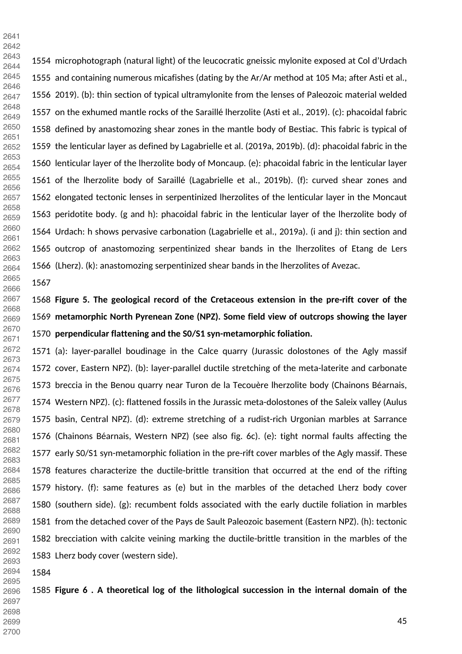1554 microphotograph (natural light) of the leucocratic gneissic mylonite exposed at Col d'Urdach 1555 and containing numerous micafishes (dating by the Ar/Ar method at 105 Ma; after Asti et al., 1556 2019). (b): thin section of typical ultramylonite from the lenses of Paleozoic material welded 1557 on the exhumed mantle rocks of the Saraillé lherzolite (Asti et al., 2019). (c): phacoidal fabric 1558 defined by anastomozing shear zones in the mantle body of Bestiac. This fabric is typical of 1559 the lenticular layer as defined by Lagabrielle et al. (2019a, 2019b). (d): phacoidal fabric in the 1560 lenticular layer of the lherzolite body of Moncaup. (e): phacoidal fabric in the lenticular layer 1561 of the lherzolite body of Saraillé (Lagabrielle et al., 2019b). (f): curved shear zones and 1562 elongated tectonic lenses in serpentinized lherzolites of the lenticular layer in the Moncaut 1563 peridotite body. (g and h): phacoidal fabric in the lenticular layer of the lherzolite body of 1564 Urdach: h shows pervasive carbonation (Lagabrielle et al., 2019a). (i and j): thin section and 1565 outcrop of anastomozing serpentinized shear bands in the lherzolites of Etang de Lers 1566 (Lherz). (k): anastomozing serpentinized shear bands in the lherzolites of Avezac. 

 

 

 **Figure 5. The geological record of the Cretaceous extension in the pre-rift cover of the metamorphic North Pyrenean Zone (NPZ). Some field view of outcrops showing the layer perpendicular flattening and the S0/S1 syn-metamorphic foliation.** 

1571 (a): layer-parallel boudinage in the Calce quarry (Jurassic dolostones of the Agly massif 1572 cover, Eastern NPZ). (b): layer-parallel ductile stretching of the meta-laterite and carbonate 1573 breccia in the Benou quarry near Turon de la Tecouère lherzolite body (Chainons Béarnais, 1574 Western NPZ). (c): flattened fossils in the Jurassic meta-dolostones of the Saleix valley (Aulus 1575 basin, Central NPZ). (d): extreme stretching of a rudist-rich Urgonian marbles at Sarrance 1576 (Chainons Béarnais, Western NPZ) (see also fig. 6c). (e): tight normal faults affecting the 1577 early S0/S1 syn-metamorphic foliation in the pre-rift cover marbles of the Agly massif. These 1578 features characterize the ductile-brittle transition that occurred at the end of the rifting 1579 history. (f): same features as (e) but in the marbles of the detached Lherz body cover 1580 (southern side). (g): recumbent folds associated with the early ductile foliation in marbles 1581 from the detached cover of the Pays de Sault Paleozoic basement (Eastern NPZ). (h): tectonic 1582 brecciation with calcite veining marking the ductile-brittle transition in the marbles of the 1583 Lherz body cover (western side). 

 

 **Figure 6 . A theoretical log of the lithological succession in the internal domain of the**  

- 
-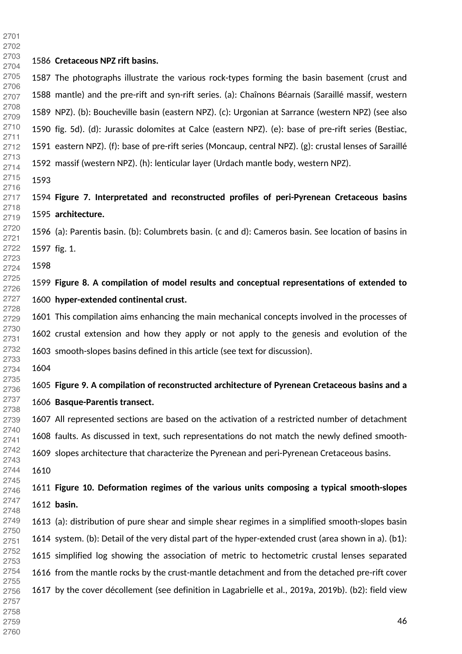**Cretaceous NPZ rift basins.** 1587 The photographs illustrate the various rock-types forming the basin basement (crust and 1588 mantle) and the pre-rift and syn-rift series. (a): Chaînons Béarnais (Saraillé massif, western 1589 NPZ). (b): Boucheville basin (eastern NPZ). (c): Urgonian at Sarrance (western NPZ) (see also 1590 fig. 5d). (d): Jurassic dolomites at Calce (eastern NPZ). (e): base of pre-rift series (Bestiac, 1591 eastern NPZ). (f): base of pre-rift series (Moncaup, central NPZ). (g): crustal lenses of Saraillé 1592 massif (western NPZ). (h): lenticular layer (Urdach mantle body, western NPZ). **Figure 7. Interpretated and reconstructed profiles of peri-Pyrenean Cretaceous basins architecture.**  1596 (a): Parentis basin. (b): Columbrets basin. (c and d): Cameros basin. See location of basins in 1597 fig. 1. **Figure 8. A compilation of model results and conceptual representations of extended to hyper-extended continental crust.** 1601 This compilation aims enhancing the main mechanical concepts involved in the processes of 1602 crustal extension and how they apply or not apply to the genesis and evolution of the 1603 smooth-slopes basins defined in this article (see text for discussion). **Figure 9. A compilation of reconstructed architecture of Pyrenean Cretaceous basins and a Basque-Parentis transect.**  1607 All represented sections are based on the activation of a restricted number of detachment 1608 faults. As discussed in text, such representations do not match the newly defined smooth-1609 slopes architecture that characterize the Pyrenean and peri-Pyrenean Cretaceous basins. **Figure 10. Deformation regimes of the various units composing a typical smooth-slopes basin.** 1613 (a): distribution of pure shear and simple shear regimes in a simplified smooth-slopes basin 1614 system. (b): Detail of the very distal part of the hyper-extended crust (area shown in a). (b1): 1615 simplified log showing the association of metric to hectometric crustal lenses separated 1616 from the mantle rocks by the crust-mantle detachment and from the detached pre-rift cover 1617 by the cover décollement (see definition in Lagabrielle et al., 2019a, 2019b). (b2): field view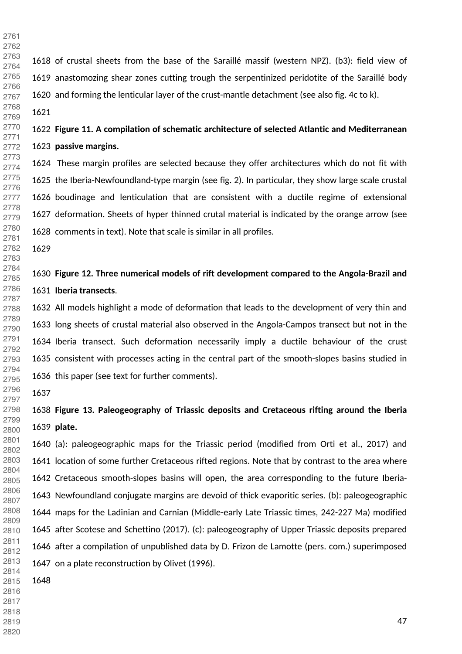1618 of crustal sheets from the base of the Saraillé massif (western NPZ). (b3): field view of 1619 anastomozing shear zones cutting trough the serpentinized peridotite of the Saraillé body 1620 and forming the lenticular layer of the crust-mantle detachment (see also fig. 4c to k). **Figure 11. A compilation of schematic architecture of selected Atlantic and Mediterranean passive margins.** 1624 These margin profiles are selected because they offer architectures which do not fit with 1625 the Iberia-Newfoundland-type margin (see fig. 2). In particular, they show large scale crustal 1626 boudinage and lenticulation that are consistent with a ductile regime of extensional 1627 deformation. Sheets of hyper thinned crutal material is indicated by the orange arrow (see 1628 comments in text). Note that scale is similar in all profiles. **Figure 12. Three numerical models of rift development compared to the Angola-Brazil and Iberia transects**. 1632 All models highlight a mode of deformation that leads to the development of very thin and 1633 long sheets of crustal material also observed in the Angola-Campos transect but not in the 1634 Iberia transect. Such deformation necessarily imply a ductile behaviour of the crust 1635 consistent with processes acting in the central part of the smooth-slopes basins studied in 1636 this paper (see text for further comments). **Figure 13. Paleogeography of Triassic deposits and Cretaceous rifting around the Iberia plate.**  1640 (a): paleogeographic maps for the Triassic period (modified from Orti et al., 2017) and 1641 location of some further Cretaceous rifted regions. Note that by contrast to the area where 1642 Cretaceous smooth-slopes basins will open, the area corresponding to the future Iberia-1643 Newfoundland conjugate margins are devoid of thick evaporitic series. (b): paleogeographic 1644 maps for the Ladinian and Carnian (Middle-early Late Triassic times, 242-227 Ma) modified 1645 after Scotese and Schettino (2017). (c): paleogeography of Upper Triassic deposits prepared 

1646 after a compilation of unpublished data by D. Frizon de Lamotte (pers. com.) superimposed

- 1647 on a plate reconstruction by Olivet (1996).
- 
- 

- 
- 
-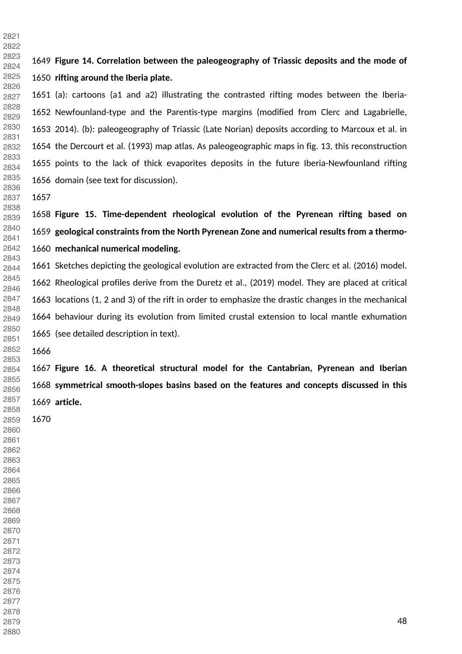**Figure 14. Correlation between the paleogeography of Triassic deposits and the mode of rifting around the Iberia plate.**  1651 (a): cartoons (a1 and a2) illustrating the contrasted rifting modes between the Iberia-1652 Newfounland-type and the Parentis-type margins (modified from Clerc and Lagabrielle, 1653 2014). (b): paleogeography of Triassic (Late Norian) deposits according to Marcoux et al. in 1654 the Dercourt et al. (1993) map atlas. As paleogeographic maps in fig. 13, this reconstruction 1655 points to the lack of thick evaporites deposits in the future Iberia-Newfounland rifting 1656 domain (see text for discussion). **Figure 15. Time-dependent rheological evolution of the Pyrenean rifting based on geological constraints from the North Pyrenean Zone and numerical results from a thermo- mechanical numerical modeling.**  1661 Sketches depicting the geological evolution are extracted from the Clerc et al. (2016) model. 1662 Rheological profiles derive from the Duretz et al., (2019) model. They are placed at critical 1663 locations (1, 2 and 3) of the rift in order to emphasize the drastic changes in the mechanical 1664 behaviour during its evolution from limited crustal extension to local mantle exhumation 1665 (see detailed description in text). **Figure 16. A theoretical structural model for the Cantabrian, Pyrenean and Iberian symmetrical smooth-slopes basins based on the features and concepts discussed in this article.**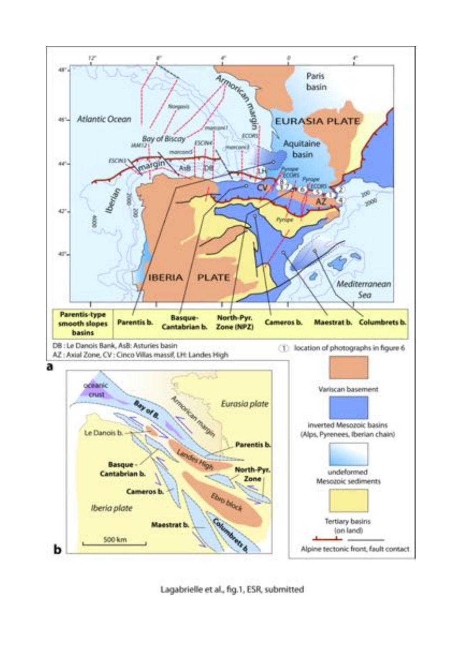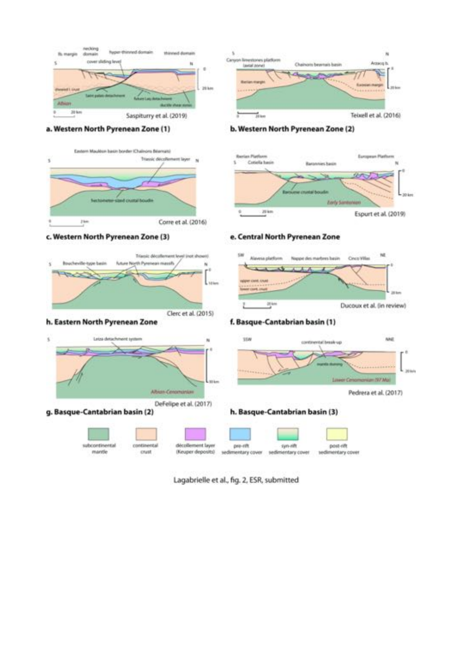

Lagabrielle et al., fig. 2, ESR, submitted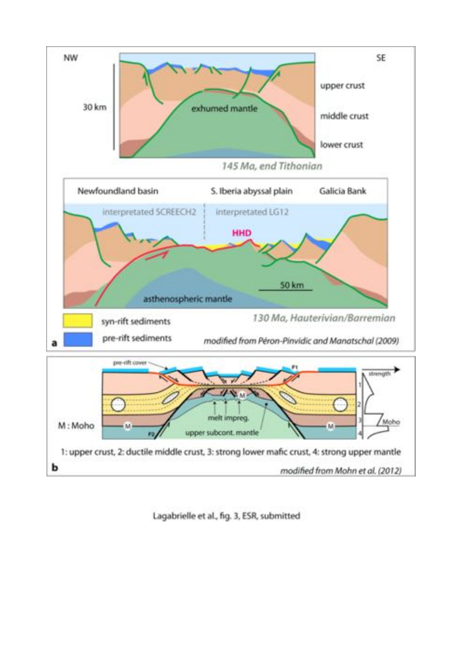

Lagabrielle et al., fig. 3, ESR, submitted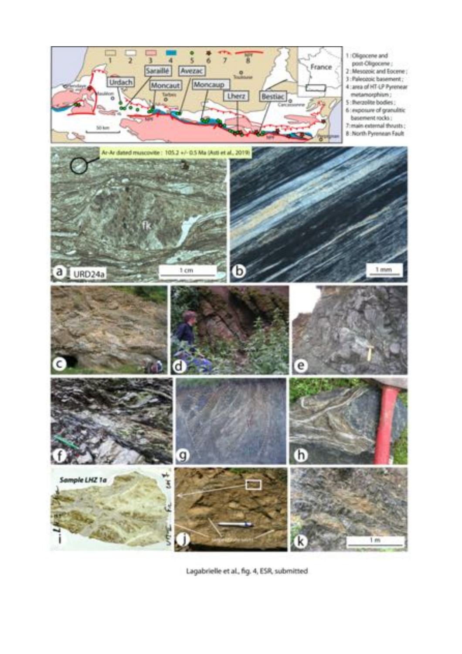

Lagabrielle et al., fig. 4, ESR, submitted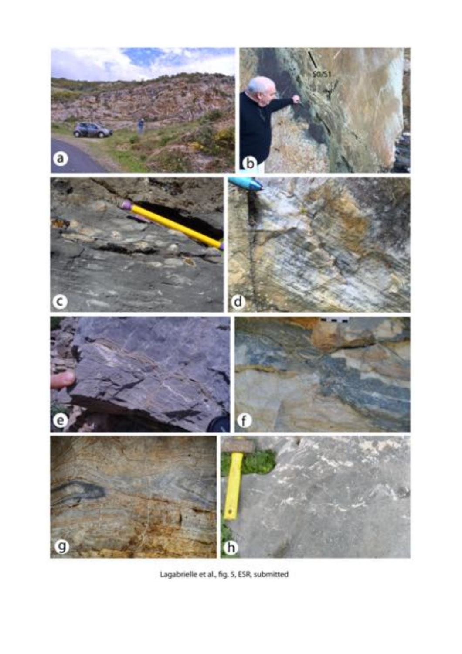

Lagabrielle et al., fig. 5, ESR, submitted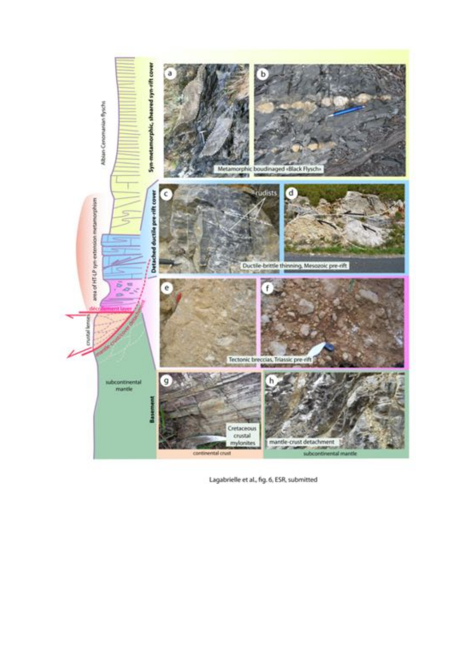

Lagabrielle et al., fig. 6, ESR, submitted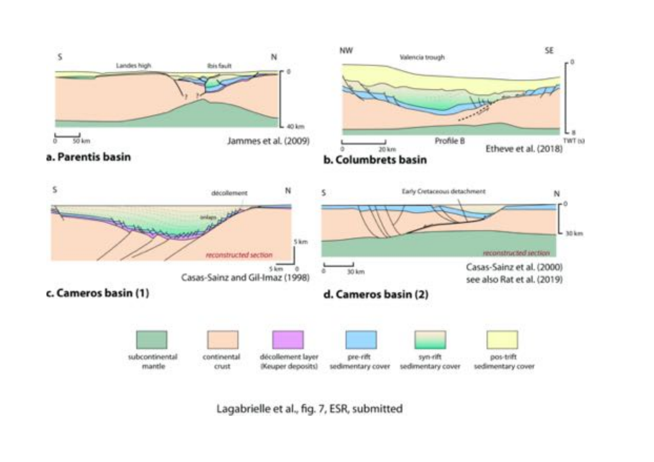

Lagabrielle et al., fig. 7, ESR, submitted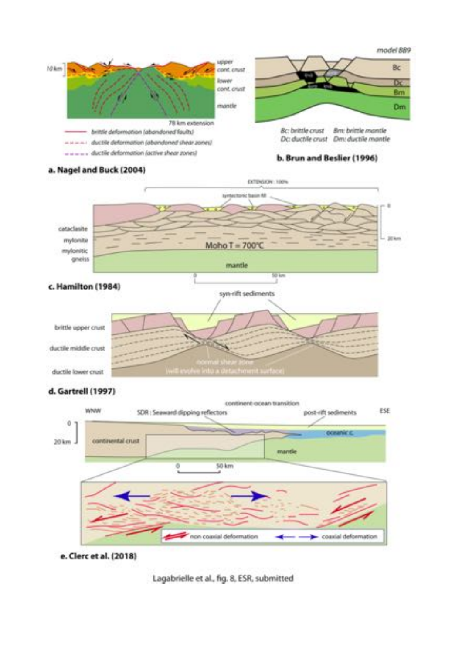

#### a. Nagel and Buck (2004)



#### d. Gartrell (1997)



e. Clerc et al. (2018)

Lagabrielle et al., fig. 8, ESR, submitted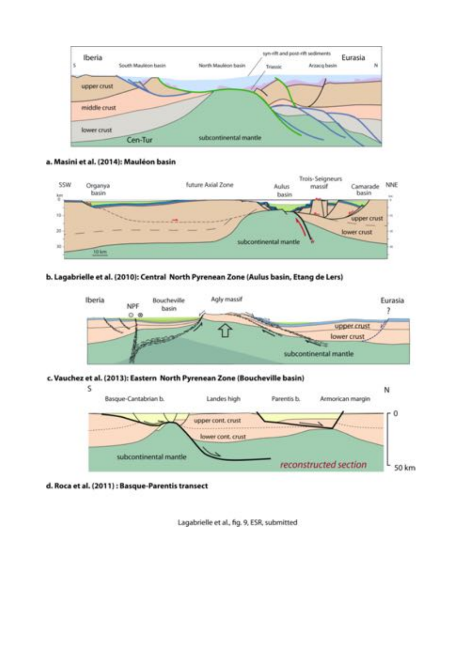

#### a. Masini et al. (2014): Mauléon basin



#### b. Lagabrielle et al. (2010): Central North Pyrenean Zone (Aulus basin, Etang de Lers)



#### c. Vauchez et al. (2013): Eastern North Pyrenean Zone (Boucheville basin)



#### d. Roca et al. (2011) : Basque-Parentis transect

Lagabrielle et al., fig. 9, ESR, submitted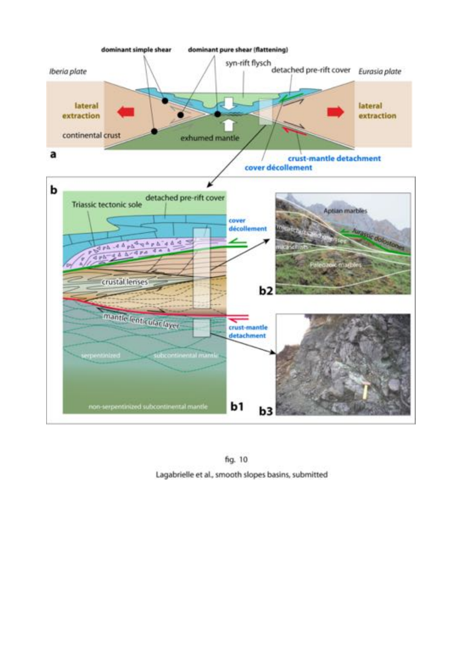

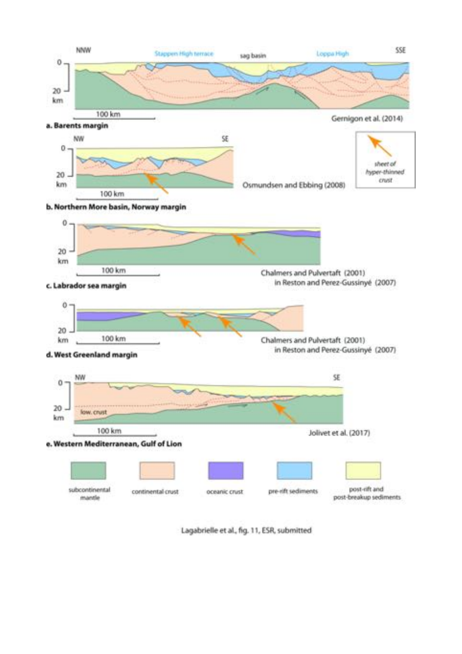

Lagabrielle et al., fig. 11, ESR, submitted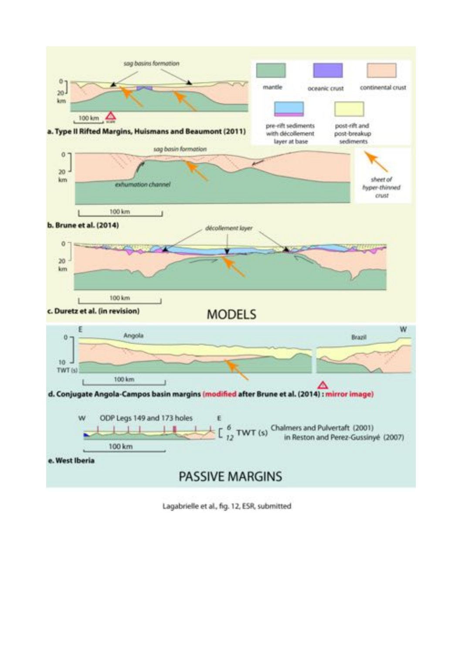

Lagabrielle et al., fig. 12, ESR, submitted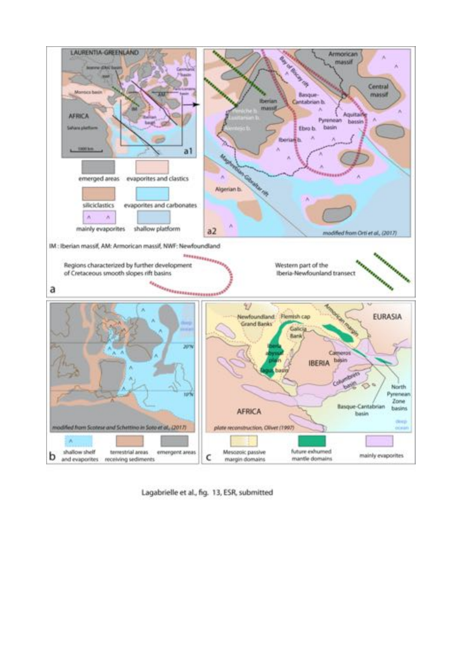

Lagabrielle et al., fig. 13, ESR, submitted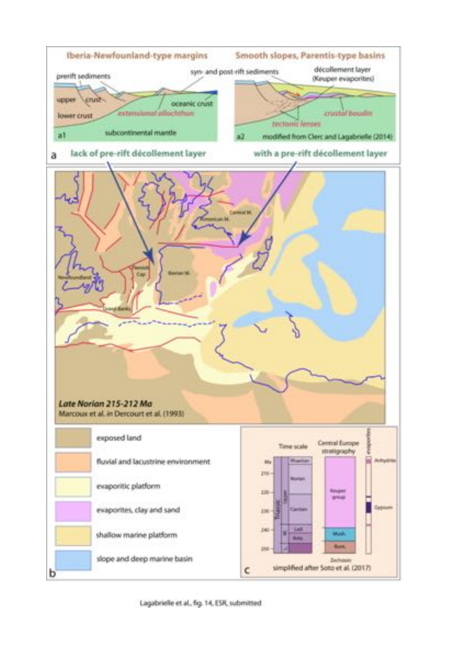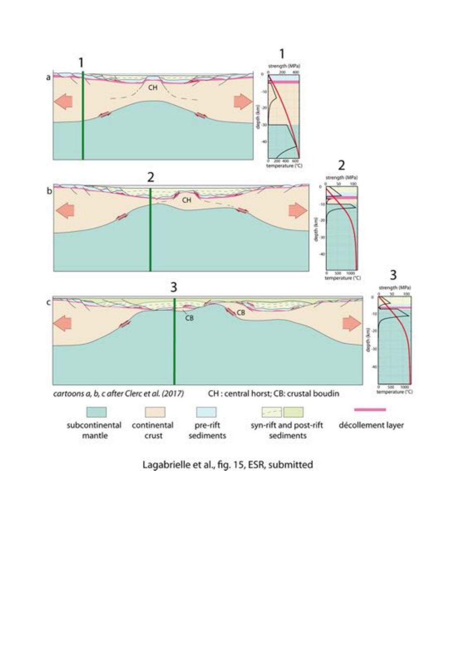

Lagabrielle et al., fig. 15, ESR, submitted